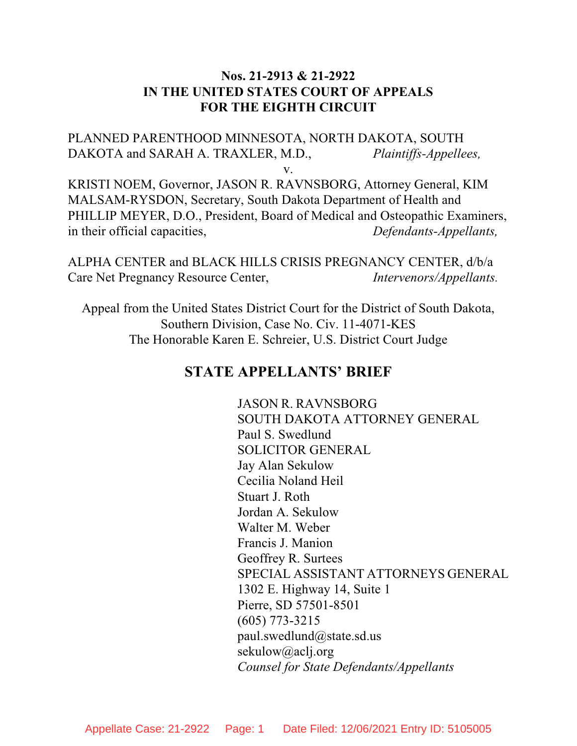# **Nos. 21-2913 & 21-2922 IN THE UNITED STATES COURT OF APPEALS FOR THE EIGHTH CIRCUIT**

PLANNED PARENTHOOD MINNESOTA, NORTH DAKOTA, SOUTH DAKOTA and SARAH A. TRAXLER, M.D., *Plaintiffs-Appellees,*

v.

KRISTI NOEM, Governor, JASON R. RAVNSBORG, Attorney General, KIM MALSAM-RYSDON, Secretary, South Dakota Department of Health and PHILLIP MEYER, D.O., President, Board of Medical and Osteopathic Examiners, in their official capacities, *Defendants-Appellants,*

ALPHA CENTER and BLACK HILLS CRISIS PREGNANCY CENTER, d/b/a Care Net Pregnancy Resource Center, *Intervenors/Appellants.*

Appeal from the United States District Court for the District of South Dakota, Southern Division, Case No. Civ. 11-4071-KES The Honorable Karen E. Schreier, U.S. District Court Judge

# **STATE APPELLANTS' BRIEF**

JASON R. RAVNSBORG SOUTH DAKOTA ATTORNEY GENERAL Paul S. Swedlund SOLICITOR GENERAL Jay Alan Sekulow Cecilia Noland Heil Stuart J. Roth Jordan A. Sekulow Walter M. Weber Francis J. Manion Geoffrey R. Surtees SPECIAL ASSISTANT ATTORNEYS GENERAL 1302 E. Highway 14, Suite 1 Pierre, SD 57501-8501 (605) 773-3215 paul.swedlund@state.sd.us sekulow@aclj.org *Counsel for State Defendants/Appellants*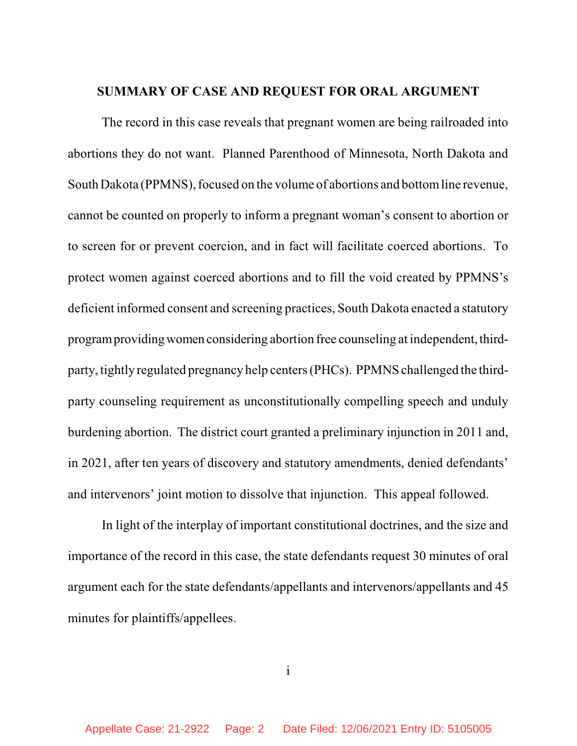## **SUMMARY OF CASE AND REQUEST FOR ORAL ARGUMENT**

The record in this case reveals that pregnant women are being railroaded into abortions they do not want. Planned Parenthood of Minnesota, North Dakota and South Dakota (PPMNS), focused on the volume of abortions and bottom line revenue, cannot be counted on properly to inform a pregnant woman's consent to abortion or to screen for or prevent coercion, and in fact will facilitate coerced abortions. To protect women against coerced abortions and to fill the void created by PPMNS's deficient informed consent and screening practices, South Dakota enacted a statutory program providing women considering abortion free counseling at independent, thirdparty, tightly regulated pregnancy help centers(PHCs). PPMNS challenged the thirdparty counseling requirement as unconstitutionally compelling speech and unduly burdening abortion. The district court granted a preliminary injunction in 2011 and, in 2021, after ten years of discovery and statutory amendments, denied defendants' and intervenors' joint motion to dissolve that injunction. This appeal followed.

In light of the interplay of important constitutional doctrines, and the size and importance of the record in this case, the state defendants request 30 minutes of oral argument each for the state defendants/appellants and intervenors/appellants and 45 minutes for plaintiffs/appellees.

i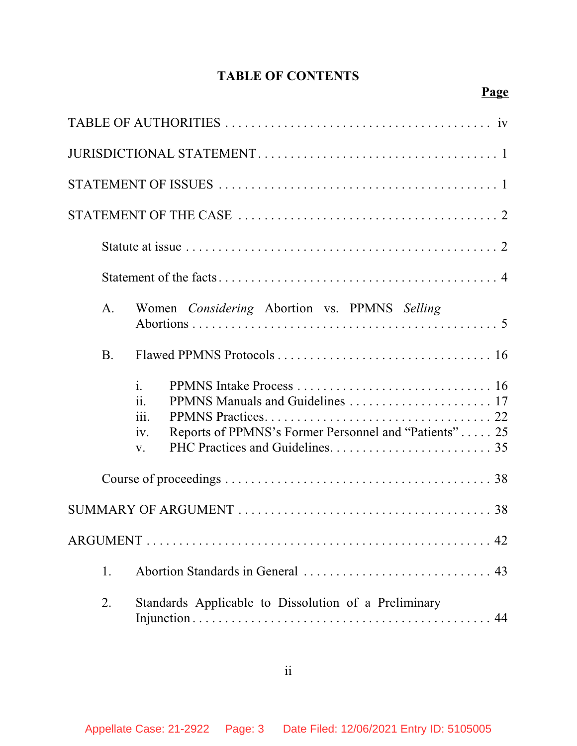# **TABLE OF CONTENTS**

| A.                                                | Women Considering Abortion vs. PPMNS Selling          |  |  |
|---------------------------------------------------|-------------------------------------------------------|--|--|
| <b>B.</b>                                         |                                                       |  |  |
| $\mathbf{i}$ .<br>ii.<br><i>iii.</i><br>iv.<br>V. | Reports of PPMNS's Former Personnel and "Patients" 25 |  |  |
|                                                   |                                                       |  |  |
|                                                   |                                                       |  |  |
|                                                   |                                                       |  |  |
| 1.                                                |                                                       |  |  |
| 2.                                                | Standards Applicable to Dissolution of a Preliminary  |  |  |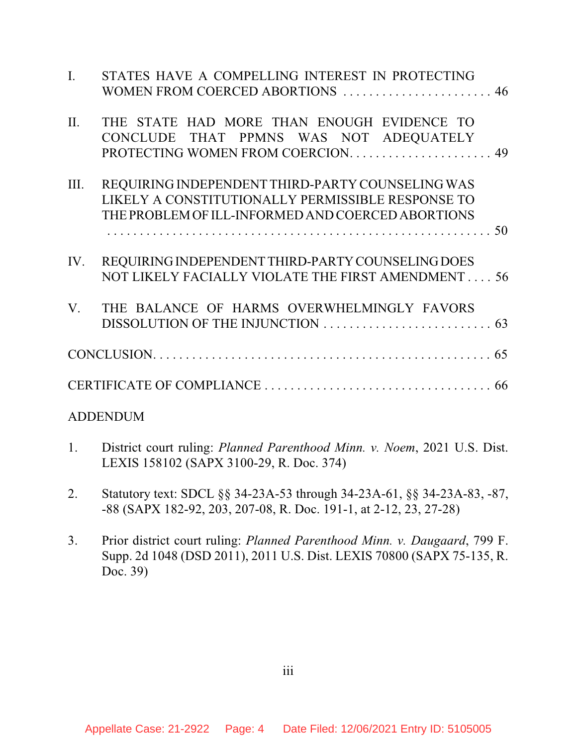| $\mathbf{I}$ . | STATES HAVE A COMPELLING INTEREST IN PROTECTING<br>WOMEN FROM COERCED ABORTIONS  46                                                                        |
|----------------|------------------------------------------------------------------------------------------------------------------------------------------------------------|
| II.            | THE STATE HAD MORE THAN ENOUGH EVIDENCE TO<br>CONCLUDE THAT PPMNS WAS NOT ADEQUATELY                                                                       |
| III.           | REQUIRING INDEPENDENT THIRD-PARTY COUNSELING WAS<br>LIKELY A CONSTITUTIONALLY PERMISSIBLE RESPONSE TO<br>THE PROBLEM OF ILL-INFORMED AND COERCED ABORTIONS |
| IV.            | REQUIRING INDEPENDENT THIRD-PARTY COUNSELING DOES<br>NOT LIKELY FACIALLY VIOLATE THE FIRST AMENDMENT 56                                                    |
| $V_{\cdot}$    | THE BALANCE OF HARMS OVERWHELMINGLY FAVORS                                                                                                                 |
|                |                                                                                                                                                            |
|                |                                                                                                                                                            |
|                | <b>ADDENDUM</b>                                                                                                                                            |
| 1.             | District court ruling: Planned Parenthood Minn. v. Noem, 2021 U.S. Dist.<br>LEXIS 158102 (SAPX 3100-29, R. Doc. 374)                                       |

2. Statutory text: SDCL §§ 34-23A-53 through 34-23A-61, §§ 34-23A-83, -87,

-88 (SAPX 182-92, 203, 207-08, R. Doc. 191-1, at 2-12, 23, 27-28)

3. Prior district court ruling: *Planned Parenthood Minn. v. Daugaard*, 799 F. Supp. 2d 1048 (DSD 2011), 2011 U.S. Dist. LEXIS 70800 (SAPX 75-135, R. Doc. 39)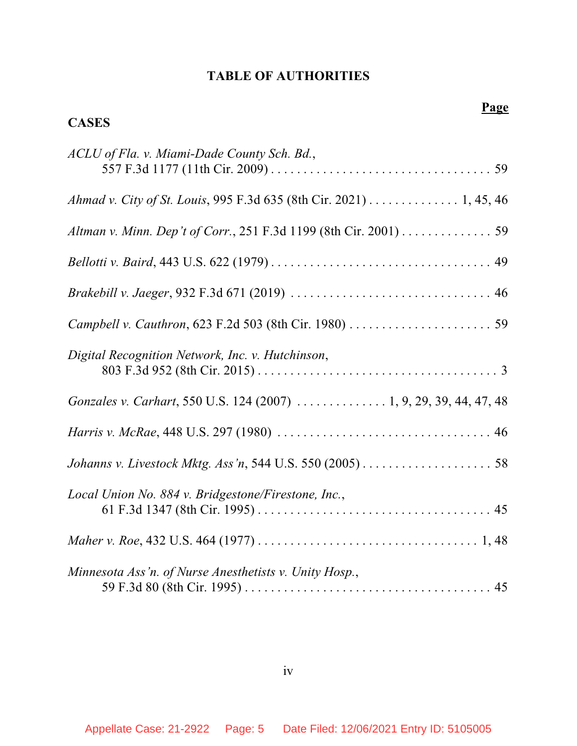## **TABLE OF AUTHORITIES**

**CASES**

# **Page** *ACLU of Fla. v. Miami-Dade County Sch. Bd.*, 557 F.3d 1177 (11th Cir. 2009) . . . . . . . . . . . . . . . . . . . . . . . . . . . . . . . . . . 59 *Ahmad v. City of St. Louis*, 995 F.3d 635 (8th Cir. 2021) . . . . . . . . . . . . . . 1, 45, 46 *Altman v. Minn. Dep't of Corr.*, 251 F.3d 1199 (8th Cir. 2001) . . . . . . . . . . . . . . 59 *Bellotti v. Baird*, 443 U.S. 622 (1979) . . . . . . . . . . . . . . . . . . . . . . . . . . . . . . . . . . 49

| Digital Recognition Network, Inc. v. Hutchinson,                   |
|--------------------------------------------------------------------|
| Gonzales v. Carhart, 550 U.S. 124 (2007)  1, 9, 29, 39, 44, 47, 48 |
|                                                                    |
|                                                                    |
| Local Union No. 884 v. Bridgestone/Firestone, Inc.,                |
|                                                                    |
| Minnesota Ass'n. of Nurse Anesthetists v. Unity Hosp.,             |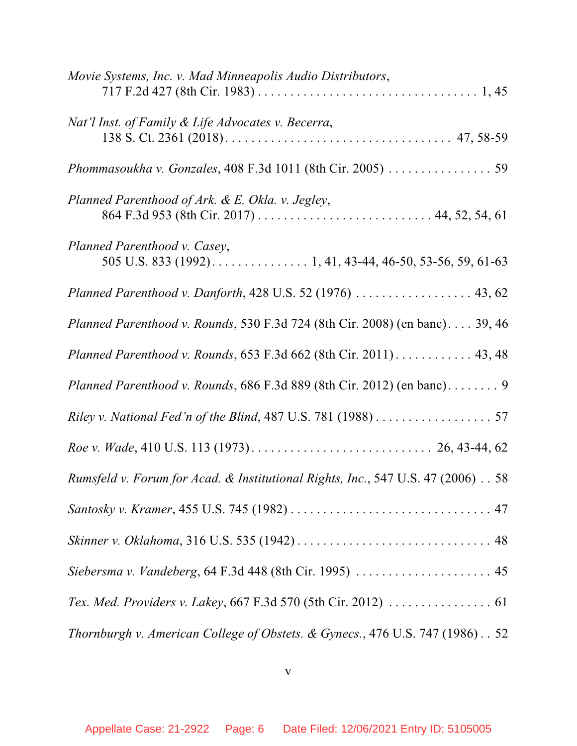| Movie Systems, Inc. v. Mad Minneapolis Audio Distributors,                                 |
|--------------------------------------------------------------------------------------------|
| Nat'l Inst. of Family & Life Advocates v. Becerra,                                         |
| Phommasoukha v. Gonzales, 408 F.3d 1011 (8th Cir. 2005)  59                                |
| Planned Parenthood of Ark. & E. Okla. v. Jegley,                                           |
| Planned Parenthood v. Casey,<br>505 U.S. 833 (1992). 1, 41, 43-44, 46-50, 53-56, 59, 61-63 |
| Planned Parenthood v. Danforth, 428 U.S. 52 (1976)  43, 62                                 |
| <i>Planned Parenthood v. Rounds, 530 F.3d 724 (8th Cir. 2008) (en banc) 39, 46</i>         |
| Planned Parenthood v. Rounds, 653 F.3d 662 (8th Cir. 2011) 43, 48                          |
| Planned Parenthood v. Rounds, 686 F.3d 889 (8th Cir. 2012) (en banc). 9                    |
| Riley v. National Fed'n of the Blind, 487 U.S. 781 (1988) 57                               |
|                                                                                            |
| Rumsfeld v. Forum for Acad. & Institutional Rights, Inc., 547 U.S. 47 (2006) 58            |
|                                                                                            |
|                                                                                            |
| Siebersma v. Vandeberg, 64 F.3d 448 (8th Cir. 1995)  45                                    |
|                                                                                            |
| Thornburgh v. American College of Obstets. & Gynecs., 476 U.S. 747 (1986). . 52            |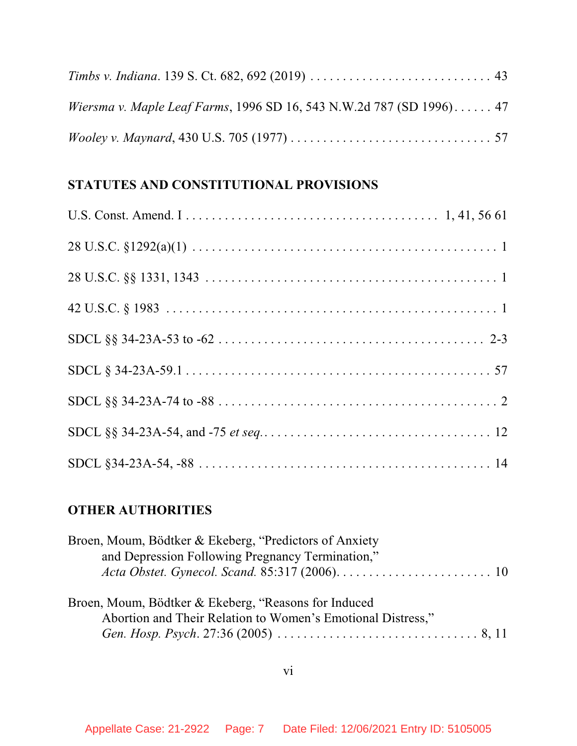| Wiersma v. Maple Leaf Farms, 1996 SD 16, 543 N.W.2d 787 (SD 1996) 47 |  |
|----------------------------------------------------------------------|--|
|                                                                      |  |

# **STATUTES AND CONSTITUTIONAL PROVISIONS**

# **OTHER AUTHORITIES**

| Broen, Moum, Bödtker & Ekeberg, "Predictors of Anxiety      |  |
|-------------------------------------------------------------|--|
| and Depression Following Pregnancy Termination,"            |  |
|                                                             |  |
|                                                             |  |
| Broen, Moum, Bödtker & Ekeberg, "Reasons for Induced        |  |
| Abortion and Their Relation to Women's Emotional Distress," |  |
|                                                             |  |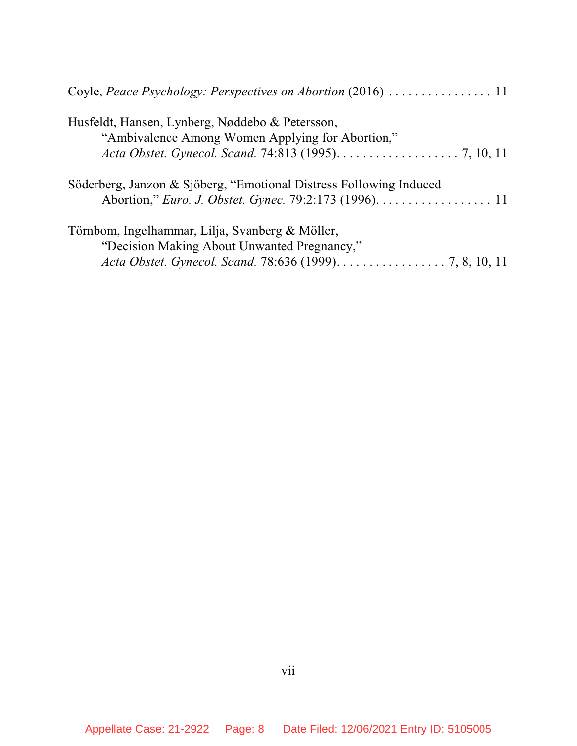| Husfeldt, Hansen, Lynberg, Nøddebo & Petersson,<br>"Ambivalence Among Women Applying for Abortion,"                                                        |
|------------------------------------------------------------------------------------------------------------------------------------------------------------|
|                                                                                                                                                            |
| Söderberg, Janzon & Sjöberg, "Emotional Distress Following Induced<br>Abortion," <i>Euro. J. Obstet. Gynec.</i> 79:2:173 (1996). 11                        |
| Törnbom, Ingelhammar, Lilja, Svanberg & Möller,<br>"Decision Making About Unwanted Pregnancy,"<br>Acta Obstet. Gynecol. Scand. 78:636 (1999). 7, 8, 10, 11 |
|                                                                                                                                                            |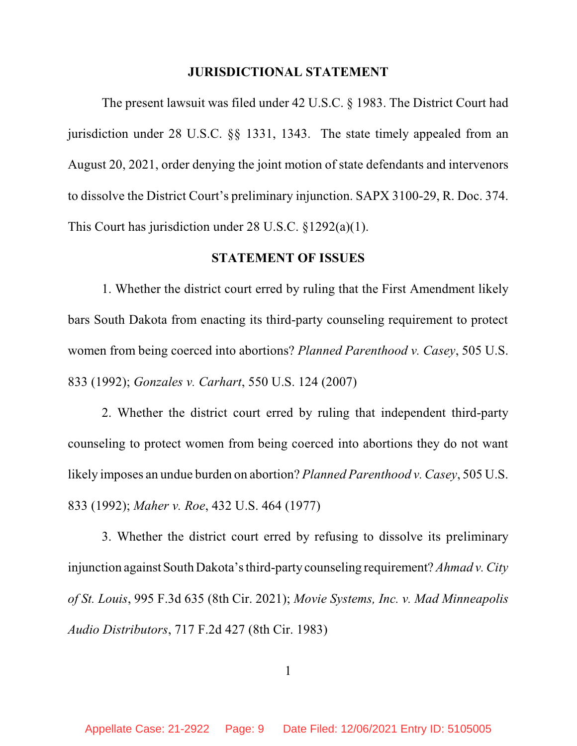#### **JURISDICTIONAL STATEMENT**

The present lawsuit was filed under 42 U.S.C. § 1983. The District Court had jurisdiction under 28 U.S.C. §§ 1331, 1343. The state timely appealed from an August 20, 2021, order denying the joint motion of state defendants and intervenors to dissolve the District Court's preliminary injunction. SAPX 3100-29, R. Doc. 374. This Court has jurisdiction under 28 U.S.C. §1292(a)(1).

# **STATEMENT OF ISSUES**

1. Whether the district court erred by ruling that the First Amendment likely bars South Dakota from enacting its third-party counseling requirement to protect women from being coerced into abortions? *Planned Parenthood v. Casey*, 505 U.S. 833 (1992); *Gonzales v. Carhart*, 550 U.S. 124 (2007)

2. Whether the district court erred by ruling that independent third-party counseling to protect women from being coerced into abortions they do not want likely imposes an undue burden on abortion? *Planned Parenthood v. Casey*, 505 U.S. 833 (1992); *Maher v. Roe*, 432 U.S. 464 (1977)

3. Whether the district court erred by refusing to dissolve its preliminary injunction against South Dakota'sthird-party counseling requirement? *Ahmad v. City of St. Louis*, 995 F.3d 635 (8th Cir. 2021); *Movie Systems, Inc. v. Mad Minneapolis Audio Distributors*, 717 F.2d 427 (8th Cir. 1983)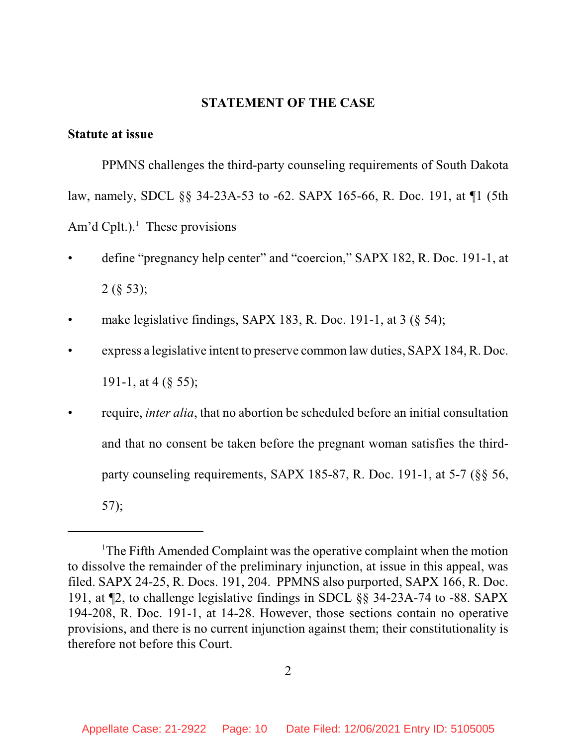#### **STATEMENT OF THE CASE**

#### **Statute at issue**

PPMNS challenges the third-party counseling requirements of South Dakota law, namely, SDCL §§ 34-23A-53 to -62. SAPX 165-66, R. Doc. 191, at ¶1 (5th Am'd Cplt.).<sup>1</sup> These provisions

- define "pregnancy help center" and "coercion," SAPX 182, R. Doc. 191-1, at 2 (§ 53);
- make legislative findings, SAPX 183, R. Doc. 191-1, at  $3 \times 54$ ;
- express a legislative intent to preserve common law duties, SAPX 184, R. Doc. 191-1, at 4 (§ 55);
- require, *inter alia*, that no abortion be scheduled before an initial consultation and that no consent be taken before the pregnant woman satisfies the thirdparty counseling requirements, SAPX 185-87, R. Doc. 191-1, at 5-7 (§§ 56, 57);

<sup>1</sup>The Fifth Amended Complaint was the operative complaint when the motion to dissolve the remainder of the preliminary injunction, at issue in this appeal, was filed. SAPX 24-25, R. Docs. 191, 204. PPMNS also purported, SAPX 166, R. Doc. 191, at ¶2, to challenge legislative findings in SDCL §§ 34-23A-74 to -88. SAPX 194-208, R. Doc. 191-1, at 14-28. However, those sections contain no operative provisions, and there is no current injunction against them; their constitutionality is therefore not before this Court.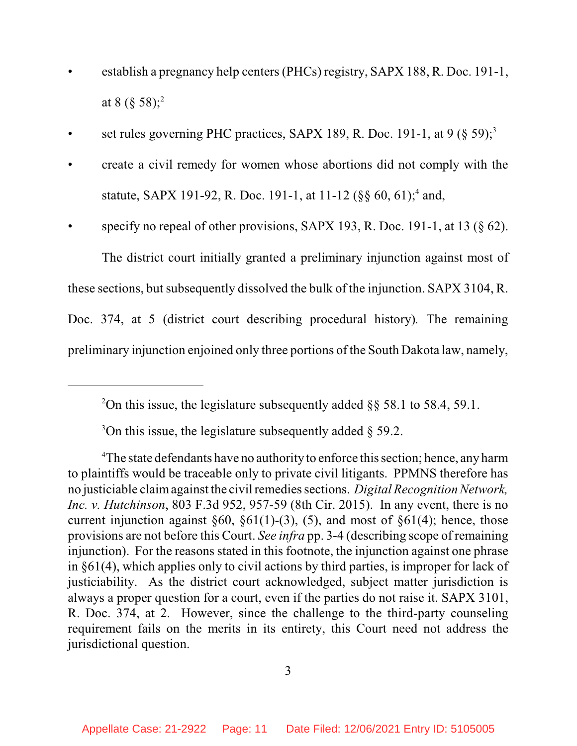- establish a pregnancy help centers (PHCs) registry, SAPX 188, R. Doc. 191-1, at 8 (§ 58);<sup>2</sup>
- set rules governing PHC practices, SAPX 189, R. Doc. 191-1, at 9 (§ 59);<sup>3</sup>
- create a civil remedy for women whose abortions did not comply with the statute, SAPX 191-92, R. Doc. 191-1, at 11-12 ( $\S\S 60, 61$ );<sup>4</sup> and,
- specify no repeal of other provisions, SAPX 193, R. Doc. 191-1, at 13  $(\S$  62). The district court initially granted a preliminary injunction against most of

these sections, but subsequently dissolved the bulk of the injunction. SAPX 3104, R. Doc. 374, at 5 (district court describing procedural history)*.* The remaining

preliminary injunction enjoined only three portions of the South Dakota law, namely,

 $3$ On this issue, the legislature subsequently added § 59.2.

<sup>&</sup>lt;sup>2</sup>On this issue, the legislature subsequently added  $\S$ § 58.1 to 58.4, 59.1.

<sup>&</sup>lt;sup>4</sup>The state defendants have no authority to enforce this section; hence, any harm to plaintiffs would be traceable only to private civil litigants. PPMNS therefore has no justiciable claim against the civil remedies sections. *Digital Recognition Network*, *Inc. v. Hutchinson*, 803 F.3d 952, 957-59 (8th Cir. 2015). In any event, there is no current injunction against  $\S 60$ ,  $\S 61(1)$ -(3), (5), and most of  $\S 61(4)$ ; hence, those provisions are not before this Court. *See infra* pp. 3-4 (describing scope of remaining injunction). For the reasons stated in this footnote, the injunction against one phrase in §61(4), which applies only to civil actions by third parties, is improper for lack of justiciability. As the district court acknowledged, subject matter jurisdiction is always a proper question for a court, even if the parties do not raise it. SAPX 3101, R. Doc. 374, at 2. However, since the challenge to the third-party counseling requirement fails on the merits in its entirety, this Court need not address the jurisdictional question.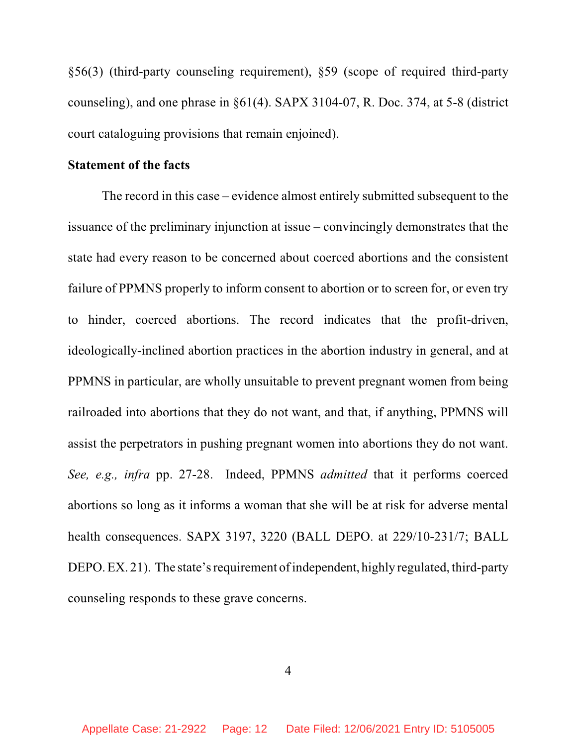§56(3) (third-party counseling requirement), §59 (scope of required third-party counseling), and one phrase in §61(4). SAPX 3104-07, R. Doc. 374, at 5-8 (district court cataloguing provisions that remain enjoined).

## **Statement of the facts**

The record in this case – evidence almost entirely submitted subsequent to the issuance of the preliminary injunction at issue – convincingly demonstrates that the state had every reason to be concerned about coerced abortions and the consistent failure of PPMNS properly to inform consent to abortion or to screen for, or even try to hinder, coerced abortions. The record indicates that the profit-driven, ideologically-inclined abortion practices in the abortion industry in general, and at PPMNS in particular, are wholly unsuitable to prevent pregnant women from being railroaded into abortions that they do not want, and that, if anything, PPMNS will assist the perpetrators in pushing pregnant women into abortions they do not want. *See, e.g., infra* pp. 27-28. Indeed, PPMNS *admitted* that it performs coerced abortions so long as it informs a woman that she will be at risk for adverse mental health consequences. SAPX 3197, 3220 (BALL DEPO. at 229/10-231/7; BALL DEPO. EX. 21). The state's requirement of independent, highly regulated, third-party counseling responds to these grave concerns.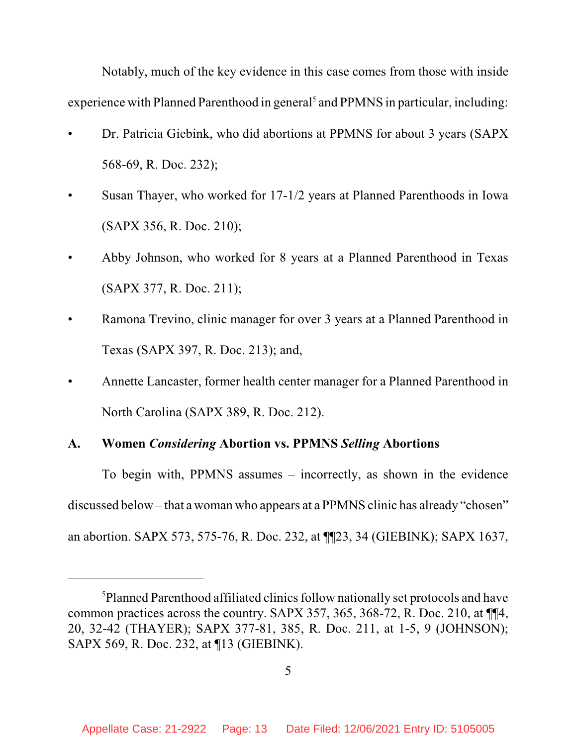Notably, much of the key evidence in this case comes from those with inside experience with Planned Parenthood in general<sup>5</sup> and PPMNS in particular, including:

- Dr. Patricia Giebink, who did abortions at PPMNS for about 3 years (SAPX 568-69, R. Doc. 232);
- Susan Thayer, who worked for 17-1/2 years at Planned Parenthoods in Iowa (SAPX 356, R. Doc. 210);
- Abby Johnson, who worked for 8 years at a Planned Parenthood in Texas (SAPX 377, R. Doc. 211);
- Ramona Trevino, clinic manager for over 3 years at a Planned Parenthood in Texas (SAPX 397, R. Doc. 213); and,
- Annette Lancaster, former health center manager for a Planned Parenthood in North Carolina (SAPX 389, R. Doc. 212).

#### **A. Women** *Considering* **Abortion vs. PPMNS** *Selling* **Abortions**

To begin with, PPMNS assumes – incorrectly, as shown in the evidence discussed below – that a woman who appears at a PPMNS clinic has already "chosen" an abortion. SAPX 573, 575-76, R. Doc. 232, at ¶¶23, 34 (GIEBINK); SAPX 1637,

<sup>&</sup>lt;sup>5</sup>Planned Parenthood affiliated clinics follow nationally set protocols and have common practices across the country. SAPX 357, 365, 368-72, R. Doc. 210, at ¶¶4, 20, 32-42 (THAYER); SAPX 377-81, 385, R. Doc. 211, at 1-5, 9 (JOHNSON); SAPX 569, R. Doc. 232, at ¶13 (GIEBINK).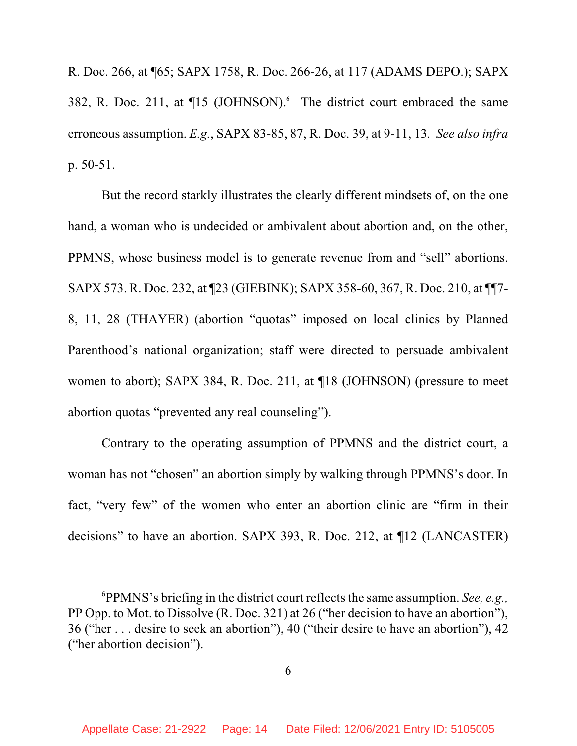R. Doc. 266, at ¶65; SAPX 1758, R. Doc. 266-26, at 117 (ADAMS DEPO.); SAPX 382, R. Doc. 211, at  $\P$ 15 (JOHNSON).<sup>6</sup> The district court embraced the same erroneous assumption. *E.g.*, SAPX 83-85, 87, R. Doc. 39, at 9-11, 13*. See also infra* p. 50-51.

But the record starkly illustrates the clearly different mindsets of, on the one hand, a woman who is undecided or ambivalent about abortion and, on the other, PPMNS, whose business model is to generate revenue from and "sell" abortions. SAPX 573. R. Doc. 232, at ¶23 (GIEBINK); SAPX 358-60, 367, R. Doc. 210, at ¶¶7- 8, 11, 28 (THAYER) (abortion "quotas" imposed on local clinics by Planned Parenthood's national organization; staff were directed to persuade ambivalent women to abort); SAPX 384, R. Doc. 211, at ¶18 (JOHNSON) (pressure to meet abortion quotas "prevented any real counseling").

Contrary to the operating assumption of PPMNS and the district court, a woman has not "chosen" an abortion simply by walking through PPMNS's door. In fact, "very few" of the women who enter an abortion clinic are "firm in their decisions" to have an abortion. SAPX 393, R. Doc. 212, at ¶12 (LANCASTER)

<sup>&</sup>lt;sup>6</sup>PPMNS's briefing in the district court reflects the same assumption. *See, e.g.*, PP Opp. to Mot. to Dissolve (R. Doc. 321) at 26 ("her decision to have an abortion"), 36 ("her . . . desire to seek an abortion"), 40 ("their desire to have an abortion"), 42 ("her abortion decision").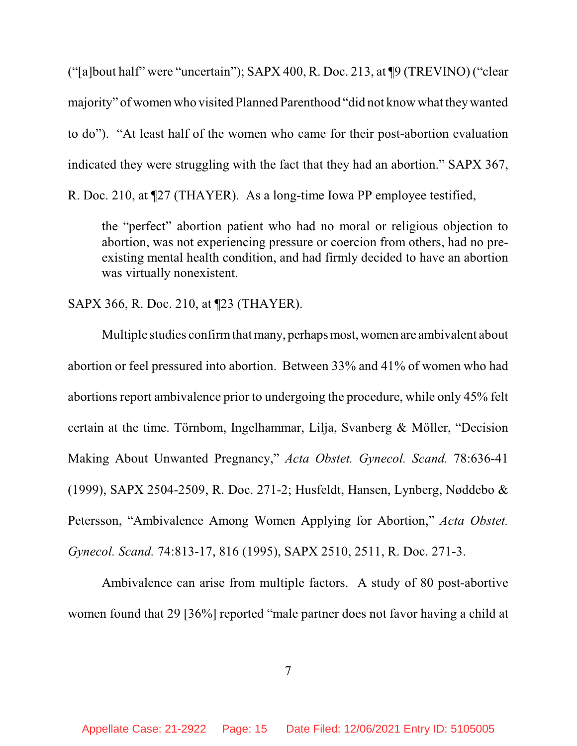("[a]bout half" were "uncertain"); SAPX 400, R. Doc. 213, at ¶9 (TREVINO) ("clear majority" of women who visited Planned Parenthood "did not know what theywanted to do"). "At least half of the women who came for their post-abortion evaluation indicated they were struggling with the fact that they had an abortion." SAPX 367, R. Doc. 210, at ¶27 (THAYER). As a long-time Iowa PP employee testified,

the "perfect" abortion patient who had no moral or religious objection to abortion, was not experiencing pressure or coercion from others, had no preexisting mental health condition, and had firmly decided to have an abortion was virtually nonexistent.

SAPX 366, R. Doc. 210, at ¶23 (THAYER).

Multiple studies confirm that many, perhaps most, women are ambivalent about abortion or feel pressured into abortion. Between 33% and 41% of women who had abortions report ambivalence prior to undergoing the procedure, while only 45% felt certain at the time. Törnbom, Ingelhammar, Lilja, Svanberg & Möller, "Decision Making About Unwanted Pregnancy," *Acta Obstet. Gynecol. Scand.* 78:636-41 (1999), SAPX 2504-2509, R. Doc. 271-2; Husfeldt, Hansen, Lynberg, Nøddebo & Petersson, "Ambivalence Among Women Applying for Abortion," *Acta Obstet. Gynecol. Scand.* 74:813-17, 816 (1995), SAPX 2510, 2511, R. Doc. 271-3.

Ambivalence can arise from multiple factors. A study of 80 post-abortive women found that 29 [36%] reported "male partner does not favor having a child at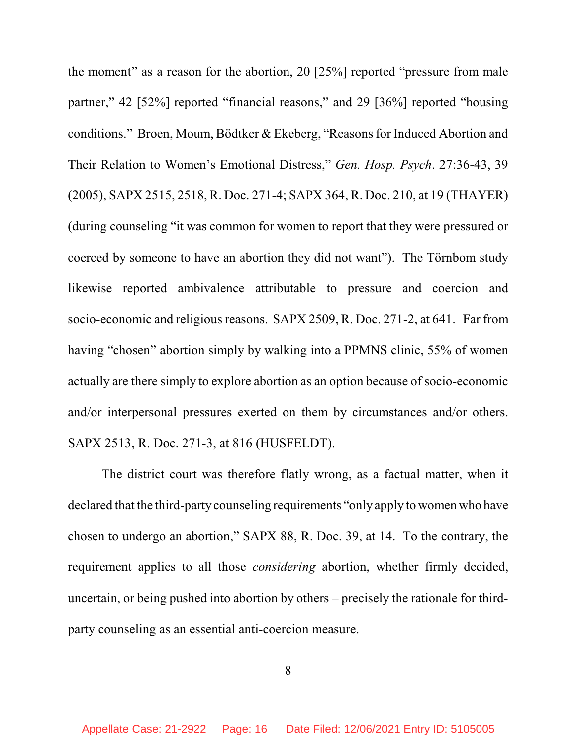the moment" as a reason for the abortion, 20 [25%] reported "pressure from male partner," 42 [52%] reported "financial reasons," and 29 [36%] reported "housing conditions." Broen, Moum, Bödtker & Ekeberg, "Reasons for Induced Abortion and Their Relation to Women's Emotional Distress," *Gen. Hosp. Psych*. 27:36-43, 39 (2005), SAPX 2515, 2518, R. Doc. 271-4; SAPX 364, R. Doc. 210, at 19 (THAYER) (during counseling "it was common for women to report that they were pressured or coerced by someone to have an abortion they did not want"). The Törnbom study likewise reported ambivalence attributable to pressure and coercion and socio-economic and religious reasons. SAPX 2509, R. Doc. 271-2, at 641. Far from having "chosen" abortion simply by walking into a PPMNS clinic, 55% of women actually are there simply to explore abortion as an option because of socio-economic and/or interpersonal pressures exerted on them by circumstances and/or others. SAPX 2513, R. Doc. 271-3, at 816 (HUSFELDT).

The district court was therefore flatly wrong, as a factual matter, when it declared that the third-party counseling requirements "only apply to women who have chosen to undergo an abortion," SAPX 88, R. Doc. 39, at 14. To the contrary, the requirement applies to all those *considering* abortion, whether firmly decided, uncertain, or being pushed into abortion by others – precisely the rationale for thirdparty counseling as an essential anti-coercion measure.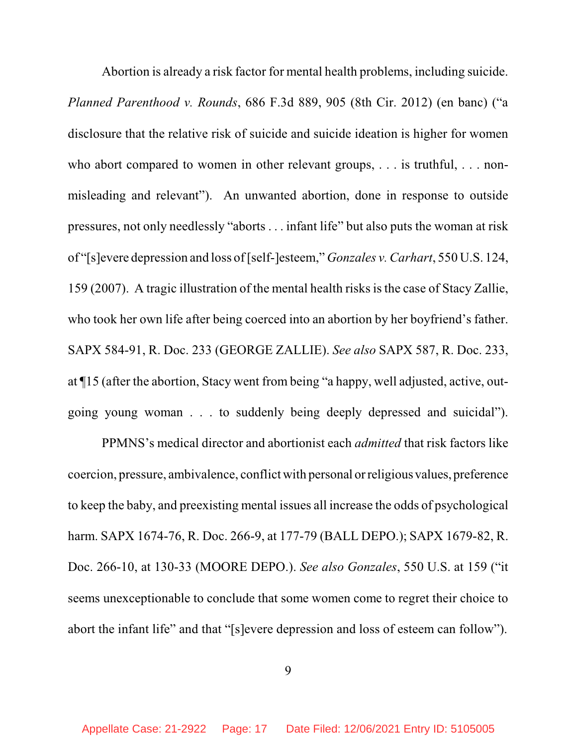Abortion is already a risk factor for mental health problems, including suicide. *Planned Parenthood v. Rounds*, 686 F.3d 889, 905 (8th Cir. 2012) (en banc) ("a disclosure that the relative risk of suicide and suicide ideation is higher for women who abort compared to women in other relevant groups, . . . is truthful, . . . nonmisleading and relevant"). An unwanted abortion, done in response to outside pressures, not only needlessly "aborts . . . infant life" but also puts the woman at risk of "[s]evere depression and loss of [self-]esteem," *Gonzales v. Carhart*, 550 U.S. 124, 159 (2007). A tragic illustration of the mental health risks isthe case of Stacy Zallie, who took her own life after being coerced into an abortion by her boyfriend's father. SAPX 584-91, R. Doc. 233 (GEORGE ZALLIE). *See also* SAPX 587, R. Doc. 233, at ¶15 (after the abortion, Stacy went from being "a happy, well adjusted, active, outgoing young woman . . . to suddenly being deeply depressed and suicidal").

PPMNS's medical director and abortionist each *admitted* that risk factors like coercion, pressure, ambivalence, conflict with personal orreligious values, preference to keep the baby, and preexisting mental issues all increase the odds of psychological harm. SAPX 1674-76, R. Doc. 266-9, at 177-79 (BALL DEPO.); SAPX 1679-82, R. Doc. 266-10, at 130-33 (MOORE DEPO.). *See also Gonzales*, 550 U.S. at 159 ("it seems unexceptionable to conclude that some women come to regret their choice to abort the infant life" and that "[s]evere depression and loss of esteem can follow").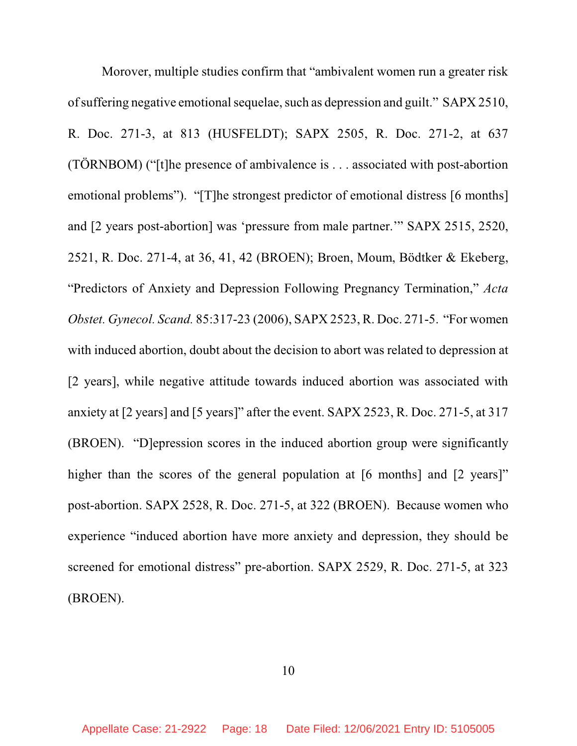Morover, multiple studies confirm that "ambivalent women run a greater risk of suffering negative emotionalsequelae, such as depression and guilt." SAPX 2510, R. Doc. 271-3, at 813 (HUSFELDT); SAPX 2505, R. Doc. 271-2, at 637 (TÖRNBOM) ("[t]he presence of ambivalence is . . . associated with post-abortion emotional problems"). "[T]he strongest predictor of emotional distress [6 months] and [2 years post-abortion] was 'pressure from male partner.'" SAPX 2515, 2520, 2521, R. Doc. 271-4, at 36, 41, 42 (BROEN); Broen, Moum, Bödtker & Ekeberg, "Predictors of Anxiety and Depression Following Pregnancy Termination," *Acta Obstet. Gynecol. Scand.* 85:317-23 (2006), SAPX 2523, R. Doc. 271-5. "For women with induced abortion, doubt about the decision to abort was related to depression at [2 years], while negative attitude towards induced abortion was associated with anxiety at [2 years] and [5 years]" after the event. SAPX 2523, R. Doc. 271-5, at 317 (BROEN). "D]epression scores in the induced abortion group were significantly higher than the scores of the general population at [6 months] and [2 years]" post-abortion. SAPX 2528, R. Doc. 271-5, at 322 (BROEN). Because women who experience "induced abortion have more anxiety and depression, they should be screened for emotional distress" pre-abortion. SAPX 2529, R. Doc. 271-5, at 323 (BROEN).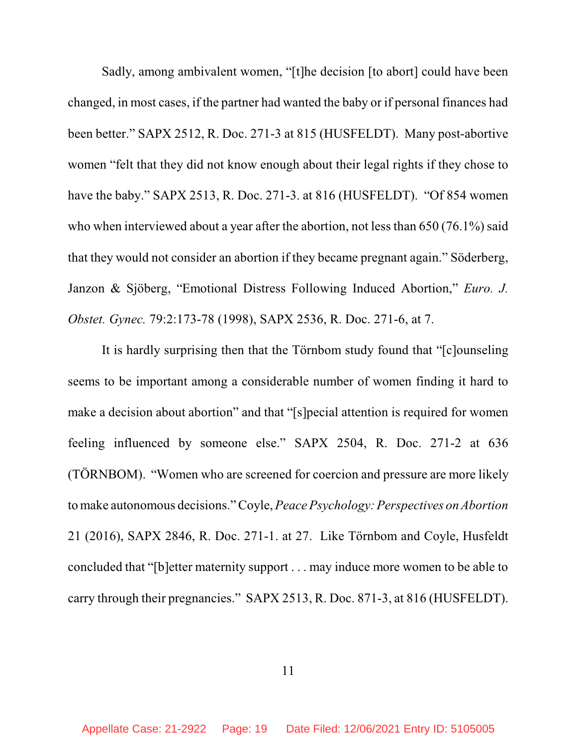Sadly, among ambivalent women, "[t]he decision [to abort] could have been changed, in most cases, if the partner had wanted the baby or if personal finances had been better." SAPX 2512, R. Doc. 271-3 at 815 (HUSFELDT). Many post-abortive women "felt that they did not know enough about their legal rights if they chose to have the baby." SAPX 2513, R. Doc. 271-3. at 816 (HUSFELDT). "Of 854 women who when interviewed about a year after the abortion, not less than 650 (76.1%) said that they would not consider an abortion if they became pregnant again." Söderberg, Janzon & Sjöberg, "Emotional Distress Following Induced Abortion," *Euro. J. Obstet. Gynec.* 79:2:173-78 (1998), SAPX 2536, R. Doc. 271-6, at 7.

It is hardly surprising then that the Törnbom study found that "[c]ounseling seems to be important among a considerable number of women finding it hard to make a decision about abortion" and that "[s]pecial attention is required for women feeling influenced by someone else." SAPX 2504, R. Doc. 271-2 at 636 (TÖRNBOM). "Women who are screened for coercion and pressure are more likely tomake autonomous decisions." Coyle, *Peace Psychology: Perspectives on Abortion* 21 (2016), SAPX 2846, R. Doc. 271-1. at 27. Like Törnbom and Coyle, Husfeldt concluded that "[b]etter maternity support . . . may induce more women to be able to carry through their pregnancies." SAPX 2513, R. Doc. 871-3, at 816 (HUSFELDT).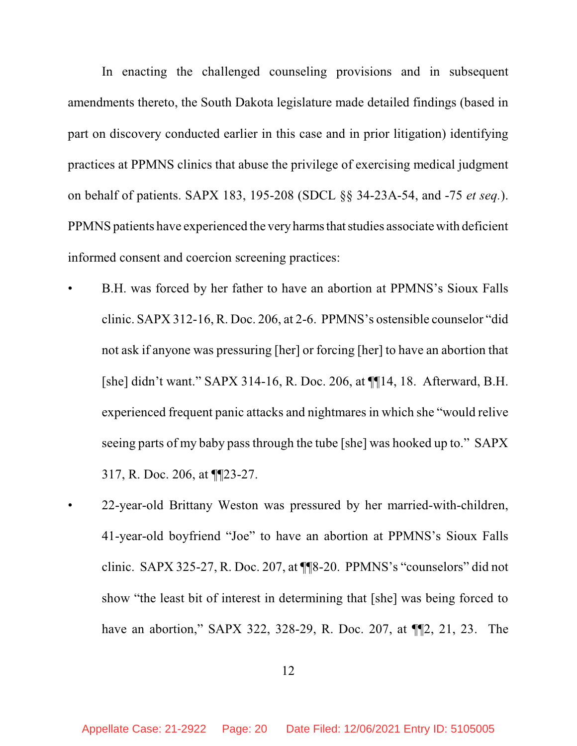In enacting the challenged counseling provisions and in subsequent amendments thereto, the South Dakota legislature made detailed findings (based in part on discovery conducted earlier in this case and in prior litigation) identifying practices at PPMNS clinics that abuse the privilege of exercising medical judgment on behalf of patients. SAPX 183, 195-208 (SDCL §§ 34-23A-54, and -75 *et seq.*). PPMNS patients have experienced the very harms that studies associate with deficient informed consent and coercion screening practices:

- B.H. was forced by her father to have an abortion at PPMNS's Sioux Falls clinic. SAPX 312-16, R. Doc. 206, at 2-6. PPMNS's ostensible counselor "did not ask if anyone was pressuring [her] or forcing [her] to have an abortion that [she] didn't want." SAPX 314-16, R. Doc. 206, at ¶¶14, 18. Afterward, B.H. experienced frequent panic attacks and nightmares in which she "would relive" seeing parts of my baby pass through the tube [she] was hooked up to." SAPX 317, R. Doc. 206, at ¶¶23-27.
- 22-year-old Brittany Weston was pressured by her married-with-children, 41-year-old boyfriend "Joe" to have an abortion at PPMNS's Sioux Falls clinic. SAPX 325-27, R. Doc. 207, at ¶¶8-20. PPMNS's "counselors" did not show "the least bit of interest in determining that [she] was being forced to have an abortion," SAPX 322, 328-29, R. Doc. 207, at  $\P$ [2, 21, 23. The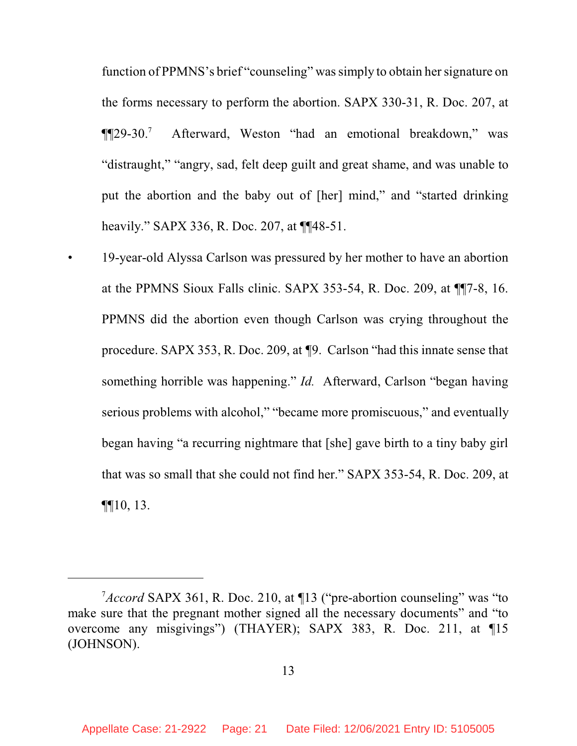function of PPMNS's brief "counseling" wassimply to obtain her signature on the forms necessary to perform the abortion. SAPX 330-31, R. Doc. 207, at  $\P$  $[129-30.^7]$ <sup>7</sup> Afterward, Weston "had an emotional breakdown," was "distraught," "angry, sad, felt deep guilt and great shame, and was unable to put the abortion and the baby out of [her] mind," and "started drinking heavily." SAPX 336, R. Doc. 207, at  $\P$ [48-51.

• 19-year-old Alyssa Carlson was pressured by her mother to have an abortion at the PPMNS Sioux Falls clinic. SAPX 353-54, R. Doc. 209, at ¶¶7-8, 16. PPMNS did the abortion even though Carlson was crying throughout the procedure. SAPX 353, R. Doc. 209, at *¶*9. Carlson "had this innate sense that something horrible was happening." *Id.* Afterward, Carlson "began having serious problems with alcohol," "became more promiscuous," and eventually began having "a recurring nightmare that [she] gave birth to a tiny baby girl that was so small that she could not find her." SAPX 353-54, R. Doc. 209, at  $\P$ [10, 13.

<sup>&</sup>lt;sup>7</sup>*Accord* SAPX 361, R. Doc. 210, at 113 ("pre-abortion counseling" was "to make sure that the pregnant mother signed all the necessary documents" and "to" overcome any misgivings") (THAYER); SAPX 383, R. Doc. 211, at ¶15 (JOHNSON).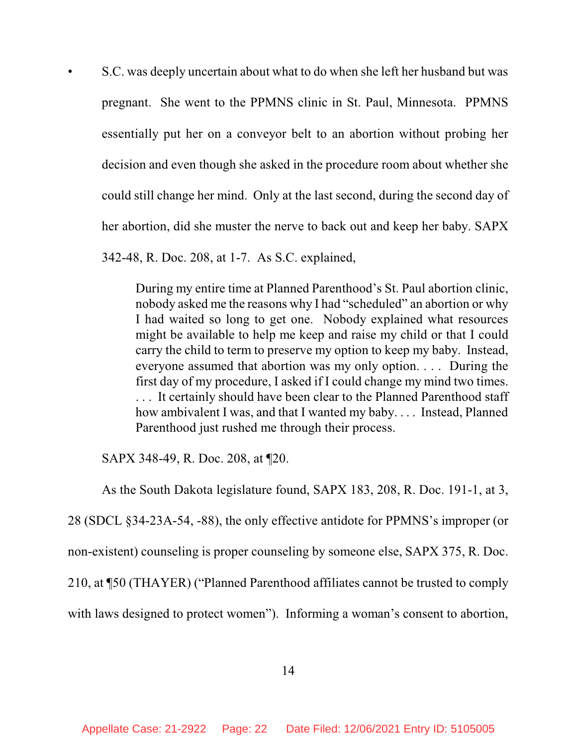• S.C. was deeply uncertain about what to do when she left her husband but was pregnant. She went to the PPMNS clinic in St. Paul, Minnesota. PPMNS essentially put her on a conveyor belt to an abortion without probing her decision and even though she asked in the procedure room about whether she could still change her mind. Only at the last second, during the second day of her abortion, did she muster the nerve to back out and keep her baby. SAPX 342-48, R. Doc. 208, at 1-7. As S.C. explained,

During my entire time at Planned Parenthood's St. Paul abortion clinic, nobody asked me the reasons why I had "scheduled" an abortion or why I had waited so long to get one. Nobody explained what resources might be available to help me keep and raise my child or that I could carry the child to term to preserve my option to keep my baby. Instead, everyone assumed that abortion was my only option. . . . During the first day of my procedure, I asked if I could change my mind two times. ... It certainly should have been clear to the Planned Parenthood staff how ambivalent I was, and that I wanted my baby. . . . Instead, Planned Parenthood just rushed me through their process.

SAPX 348-49, R. Doc. 208, at ¶20.

As the South Dakota legislature found, SAPX 183, 208, R. Doc. 191-1, at 3, 28 (SDCL §34-23A-54, -88), the only effective antidote for PPMNS's improper (or non-existent) counseling is proper counseling by someone else, SAPX 375, R. Doc. 210, at ¶50 (THAYER) ("Planned Parenthood affiliates cannot be trusted to comply with laws designed to protect women"). Informing a woman's consent to abortion,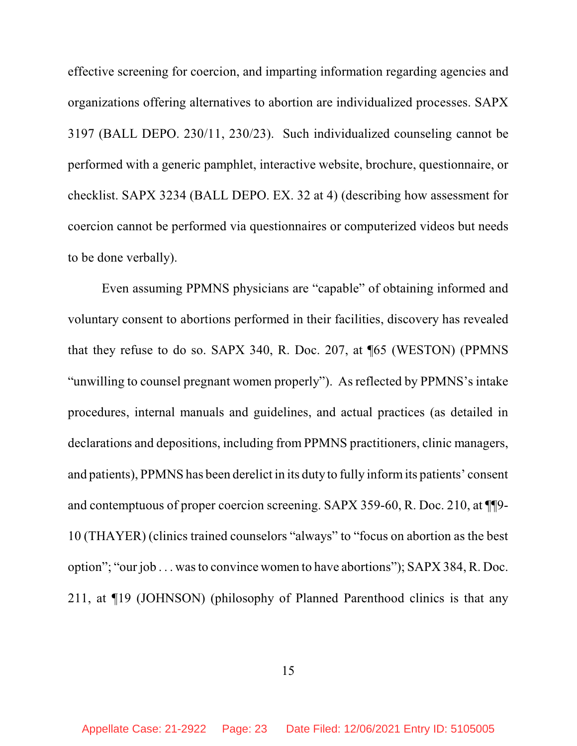effective screening for coercion, and imparting information regarding agencies and organizations offering alternatives to abortion are individualized processes. SAPX 3197 (BALL DEPO. 230/11, 230/23). Such individualized counseling cannot be performed with a generic pamphlet, interactive website, brochure, questionnaire, or checklist. SAPX 3234 (BALL DEPO. EX. 32 at 4) (describing how assessment for coercion cannot be performed via questionnaires or computerized videos but needs to be done verbally).

Even assuming PPMNS physicians are "capable" of obtaining informed and voluntary consent to abortions performed in their facilities, discovery has revealed that they refuse to do so. SAPX 340, R. Doc. 207, at ¶65 (WESTON) (PPMNS "unwilling to counsel pregnant women properly"). As reflected by PPMNS's intake procedures, internal manuals and guidelines, and actual practices (as detailed in declarations and depositions, including from PPMNS practitioners, clinic managers, and patients), PPMNS has been derelict in its duty to fully informits patients' consent and contemptuous of proper coercion screening. SAPX 359-60, R. Doc. 210, at ¶¶9- 10 (THAYER) (clinics trained counselors "always" to "focus on abortion as the best option"; "our job . . . wasto convince women to have abortions"); SAPX 384, R. Doc. 211, at ¶19 (JOHNSON) (philosophy of Planned Parenthood clinics is that any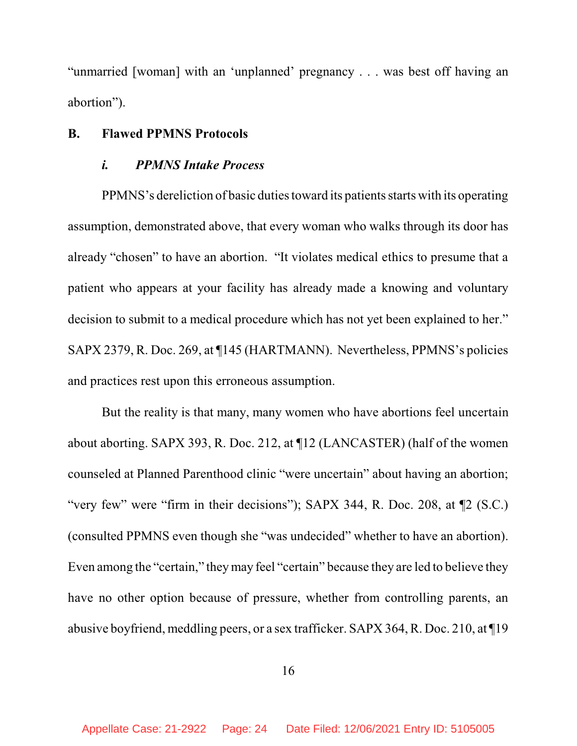"unmarried [woman] with an 'unplanned' pregnancy . . . was best off having an abortion").

## **B. Flawed PPMNS Protocols**

## *i. PPMNS Intake Process*

PPMNS's dereliction of basic duties toward its patients starts with its operating assumption, demonstrated above, that every woman who walks through its door has already "chosen" to have an abortion. "It violates medical ethics to presume that a patient who appears at your facility has already made a knowing and voluntary decision to submit to a medical procedure which has not yet been explained to her." SAPX 2379, R. Doc. 269, at ¶145 (HARTMANN). Nevertheless, PPMNS's policies and practices rest upon this erroneous assumption.

But the reality is that many, many women who have abortions feel uncertain about aborting. SAPX 393, R. Doc. 212, at ¶12 (LANCASTER) (half of the women counseled at Planned Parenthood clinic "were uncertain" about having an abortion; "very few" were "firm in their decisions"); SAPX 344, R. Doc. 208, at ¶2 (S.C.) (consulted PPMNS even though she "was undecided" whether to have an abortion). Even among the "certain," theymay feel "certain" because they are led to believe they have no other option because of pressure, whether from controlling parents, an abusive boyfriend, meddling peers, or a sex trafficker. SAPX 364, R. Doc. 210, at ¶19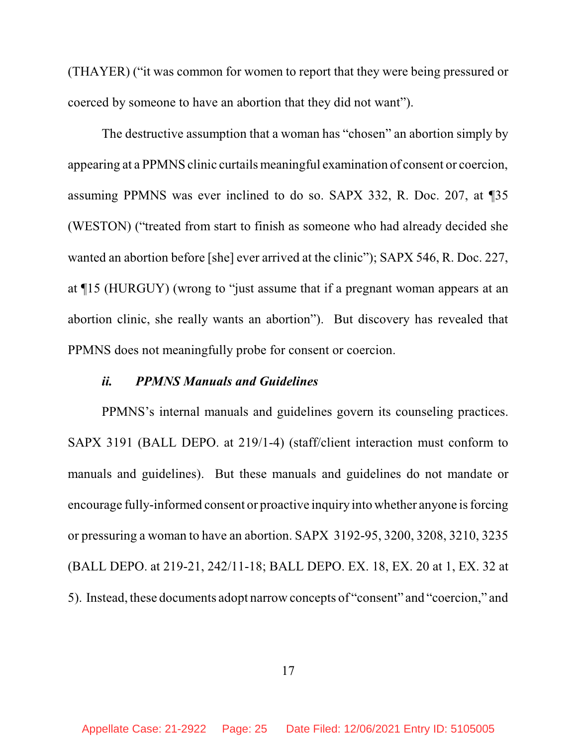(THAYER) ("it was common for women to report that they were being pressured or coerced by someone to have an abortion that they did not want").

The destructive assumption that a woman has "chosen" an abortion simply by appearing at a PPMNS clinic curtails meaningful examination of consent or coercion, assuming PPMNS was ever inclined to do so. SAPX 332, R. Doc. 207, at ¶35 (WESTON) ("treated from start to finish as someone who had already decided she wanted an abortion before [she] ever arrived at the clinic"); SAPX 546, R. Doc. 227, at ¶15 (HURGUY) (wrong to "just assume that if a pregnant woman appears at an abortion clinic, she really wants an abortion"). But discovery has revealed that PPMNS does not meaningfully probe for consent or coercion.

### *ii. PPMNS Manuals and Guidelines*

PPMNS's internal manuals and guidelines govern its counseling practices. SAPX 3191 (BALL DEPO. at 219/1-4) (staff/client interaction must conform to manuals and guidelines). But these manuals and guidelines do not mandate or encourage fully-informed consent or proactive inquiry into whether anyone is forcing or pressuring a woman to have an abortion. SAPX 3192-95, 3200, 3208, 3210, 3235 (BALL DEPO. at 219-21, 242/11-18; BALL DEPO. EX. 18, EX. 20 at 1, EX. 32 at 5). Instead, these documents adopt narrow concepts of "consent" and "coercion," and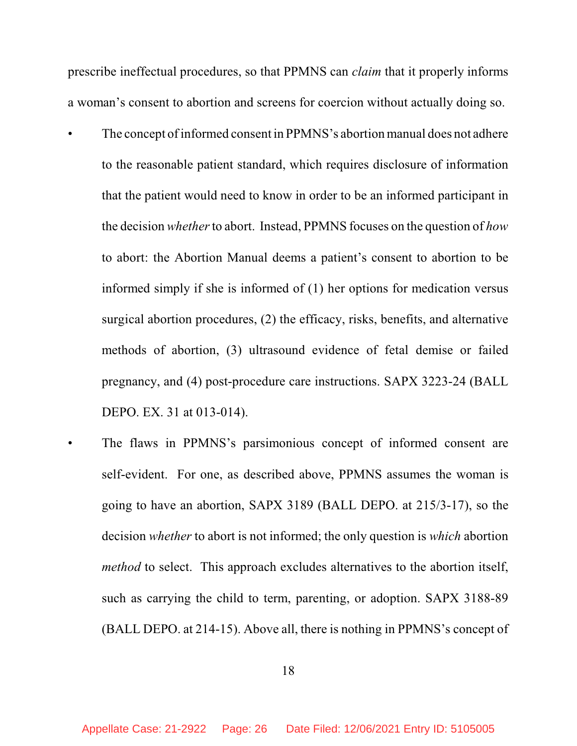prescribe ineffectual procedures, so that PPMNS can *claim* that it properly informs a woman's consent to abortion and screens for coercion without actually doing so.

- The concept of informed consent in PPMNS's abortion manual does not adhere to the reasonable patient standard, which requires disclosure of information that the patient would need to know in order to be an informed participant in the decision *whether*to abort. Instead, PPMNS focuses on the question of *how* to abort: the Abortion Manual deems a patient's consent to abortion to be informed simply if she is informed of (1) her options for medication versus surgical abortion procedures, (2) the efficacy, risks, benefits, and alternative methods of abortion, (3) ultrasound evidence of fetal demise or failed pregnancy, and (4) post-procedure care instructions. SAPX 3223-24 (BALL DEPO. EX. 31 at 013-014).
	- The flaws in PPMNS's parsimonious concept of informed consent are self-evident. For one, as described above, PPMNS assumes the woman is going to have an abortion, SAPX 3189 (BALL DEPO. at 215/3-17), so the decision *whether* to abort is not informed; the only question is *which* abortion *method* to select. This approach excludes alternatives to the abortion itself, such as carrying the child to term, parenting, or adoption. SAPX 3188-89 (BALL DEPO. at 214-15). Above all, there is nothing in PPMNS's concept of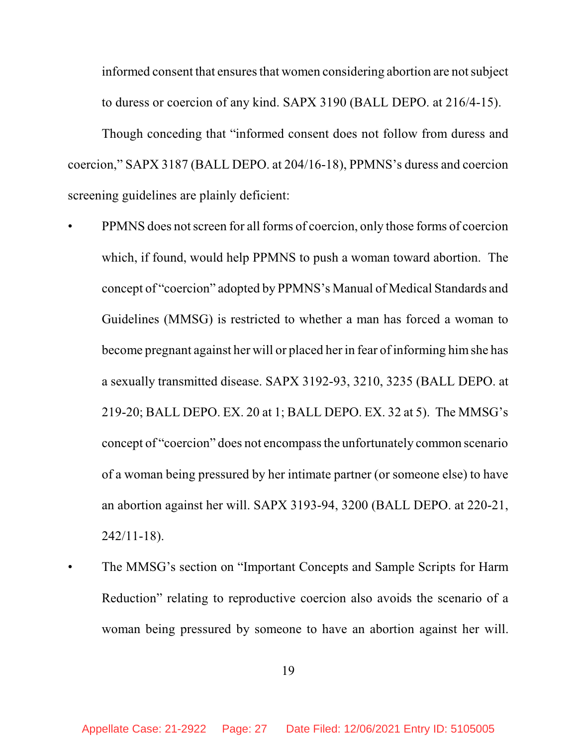informed consent that ensures that women considering abortion are not subject to duress or coercion of any kind. SAPX 3190 (BALL DEPO. at 216/4-15).

Though conceding that "informed consent does not follow from duress and coercion," SAPX 3187 (BALL DEPO. at 204/16-18), PPMNS's duress and coercion screening guidelines are plainly deficient:

- PPMNS does not screen for all forms of coercion, only those forms of coercion which, if found, would help PPMNS to push a woman toward abortion. The concept of "coercion" adopted by PPMNS's Manual of Medical Standards and Guidelines (MMSG) is restricted to whether a man has forced a woman to become pregnant against her will or placed her in fear of informing himshe has a sexually transmitted disease. SAPX 3192-93, 3210, 3235 (BALL DEPO. at 219-20; BALL DEPO. EX. 20 at 1; BALL DEPO. EX. 32 at 5). The MMSG's concept of "coercion" does not encompassthe unfortunately common scenario of a woman being pressured by her intimate partner (or someone else) to have an abortion against her will. SAPX 3193-94, 3200 (BALL DEPO. at 220-21, 242/11-18).
- The MMSG's section on "Important Concepts and Sample Scripts for Harm Reduction" relating to reproductive coercion also avoids the scenario of a woman being pressured by someone to have an abortion against her will.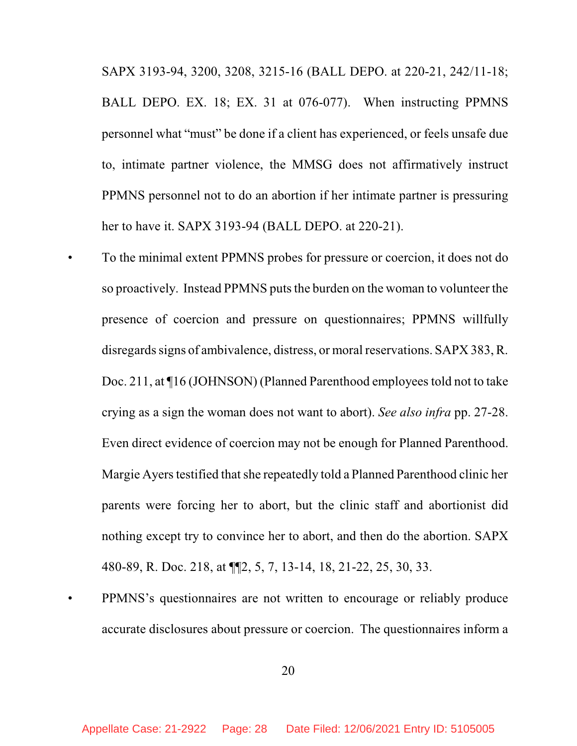SAPX 3193-94, 3200, 3208, 3215-16 (BALL DEPO. at 220-21, 242/11-18; BALL DEPO. EX. 18; EX. 31 at 076-077). When instructing PPMNS personnel what "must" be done if a client has experienced, or feels unsafe due to, intimate partner violence, the MMSG does not affirmatively instruct PPMNS personnel not to do an abortion if her intimate partner is pressuring her to have it. SAPX 3193-94 (BALL DEPO. at 220-21).

- To the minimal extent PPMNS probes for pressure or coercion, it does not do so proactively. Instead PPMNS puts the burden on the woman to volunteer the presence of coercion and pressure on questionnaires; PPMNS willfully disregards signs of ambivalence, distress, or moral reservations. SAPX 383, R. Doc. 211, at  $\P$ 16 (JOHNSON) (Planned Parenthood employees told not to take crying as a sign the woman does not want to abort). *See also infra* pp. 27-28. Even direct evidence of coercion may not be enough for Planned Parenthood. Margie Ayers testified that she repeatedly told a Planned Parenthood clinic her parents were forcing her to abort, but the clinic staff and abortionist did nothing except try to convince her to abort, and then do the abortion. SAPX 480-89, R. Doc. 218, at ¶¶2, 5, 7, 13-14, 18, 21-22, 25, 30, 33.
- PPMNS's questionnaires are not written to encourage or reliably produce accurate disclosures about pressure or coercion. The questionnaires inform a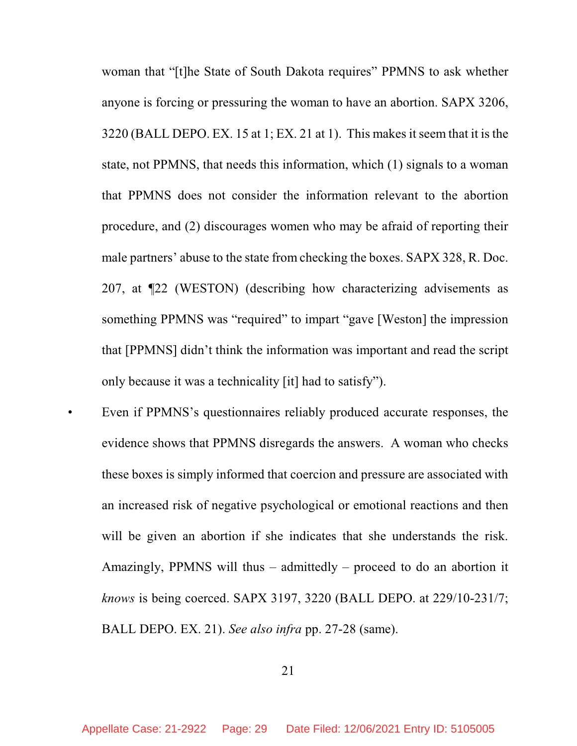woman that "[t]he State of South Dakota requires" PPMNS to ask whether anyone is forcing or pressuring the woman to have an abortion. SAPX 3206,  $3220$  (BALL DEPO. EX. 15 at 1; EX. 21 at 1). This makes it seem that it is the state, not PPMNS, that needs this information, which (1) signals to a woman that PPMNS does not consider the information relevant to the abortion procedure, and (2) discourages women who may be afraid of reporting their male partners' abuse to the state from checking the boxes. SAPX 328, R. Doc. 207, at ¶22 (WESTON) (describing how characterizing advisements as something PPMNS was "required" to impart "gave [Weston] the impression that [PPMNS] didn't think the information was important and read the script only because it was a technicality [it] had to satisfy").

Even if PPMNS's questionnaires reliably produced accurate responses, the evidence shows that PPMNS disregards the answers. A woman who checks these boxes is simply informed that coercion and pressure are associated with an increased risk of negative psychological or emotional reactions and then will be given an abortion if she indicates that she understands the risk. Amazingly, PPMNS will thus – admittedly – proceed to do an abortion it *knows* is being coerced. SAPX 3197, 3220 (BALL DEPO. at 229/10-231/7; BALL DEPO. EX. 21). *See also infra* pp. 27-28 (same).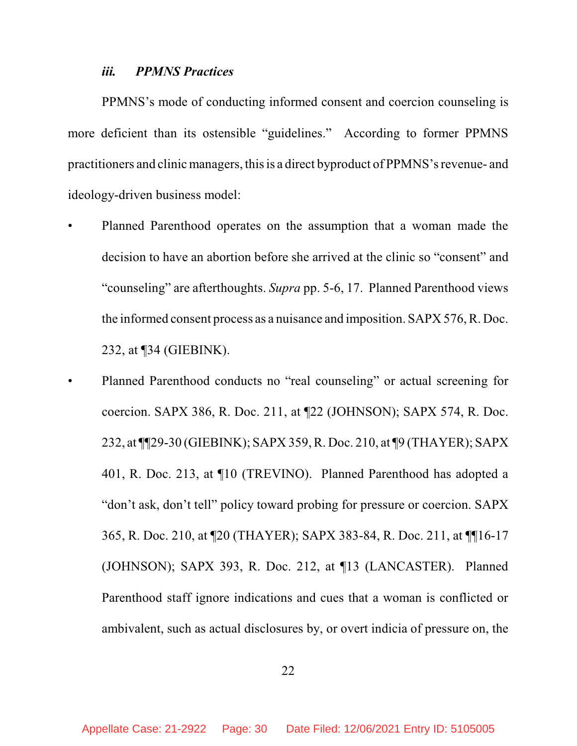#### *iii. PPMNS Practices*

PPMNS's mode of conducting informed consent and coercion counseling is more deficient than its ostensible "guidelines." According to former PPMNS practitioners and clinic managers, thisis a direct byproduct of PPMNS'srevenue- and ideology-driven business model:

- Planned Parenthood operates on the assumption that a woman made the decision to have an abortion before she arrived at the clinic so "consent" and "counseling" are afterthoughts. *Supra* pp. 5-6, 17. Planned Parenthood views the informed consent process as a nuisance and imposition. SAPX 576, R. Doc. 232, at ¶34 (GIEBINK).
- Planned Parenthood conducts no "real counseling" or actual screening for coercion. SAPX 386, R. Doc. 211, at ¶22 (JOHNSON); SAPX 574, R. Doc. 232, at ¶¶29-30 (GIEBINK); SAPX 359, R. Doc. 210, at ¶9 (THAYER); SAPX 401, R. Doc. 213, at ¶10 (TREVINO). Planned Parenthood has adopted a "don't ask, don't tell" policy toward probing for pressure or coercion. SAPX 365, R. Doc. 210, at ¶20 (THAYER); SAPX 383-84, R. Doc. 211, at ¶¶16-17 (JOHNSON); SAPX 393, R. Doc. 212, at ¶13 (LANCASTER). Planned Parenthood staff ignore indications and cues that a woman is conflicted or ambivalent, such as actual disclosures by, or overt indicia of pressure on, the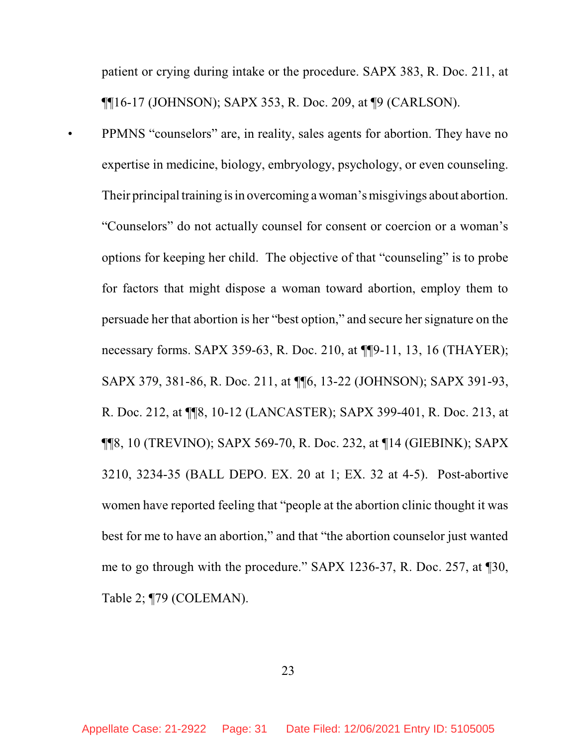patient or crying during intake or the procedure. SAPX 383, R. Doc. 211, at ¶¶16-17 (JOHNSON); SAPX 353, R. Doc. 209, at ¶9 (CARLSON).

• PPMNS "counselors" are, in reality, sales agents for abortion. They have no expertise in medicine, biology, embryology, psychology, or even counseling. Their principal training is in overcoming a woman's misgivings about abortion. "Counselors" do not actually counsel for consent or coercion or a woman's options for keeping her child. The objective of that "counseling" is to probe for factors that might dispose a woman toward abortion, employ them to persuade her that abortion is her "best option," and secure her signature on the necessary forms. SAPX 359-63, R. Doc. 210, at ¶¶9-11, 13, 16 (THAYER); SAPX 379, 381-86, R. Doc. 211, at ¶¶6, 13-22 (JOHNSON); SAPX 391-93, R. Doc. 212, at ¶¶8, 10-12 (LANCASTER); SAPX 399-401, R. Doc. 213, at ¶¶8, 10 (TREVINO); SAPX 569-70, R. Doc. 232, at ¶14 (GIEBINK); SAPX 3210, 3234-35 (BALL DEPO. EX. 20 at 1; EX. 32 at 4-5). Post-abortive women have reported feeling that "people at the abortion clinic thought it was best for me to have an abortion," and that "the abortion counselor just wanted me to go through with the procedure." SAPX 1236-37, R. Doc. 257, at ¶30, Table 2; ¶79 (COLEMAN).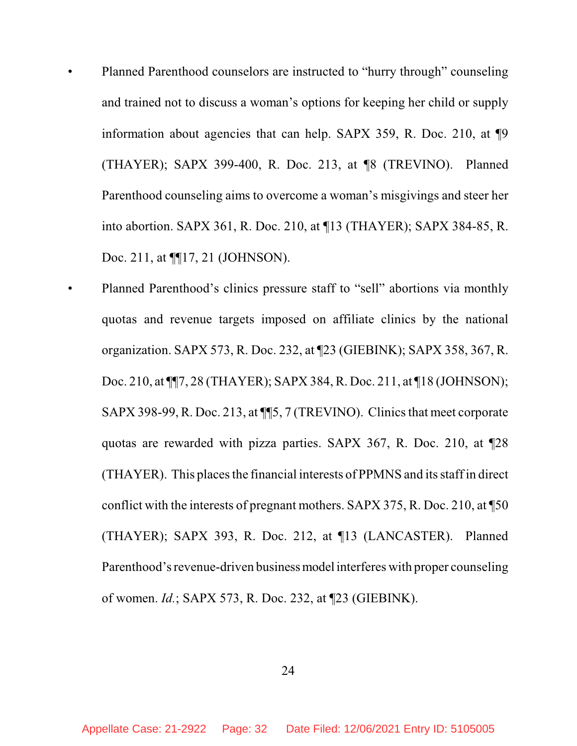- Planned Parenthood counselors are instructed to "hurry through" counseling and trained not to discuss a woman's options for keeping her child or supply information about agencies that can help. SAPX 359, R. Doc. 210, at ¶9 (THAYER); SAPX 399-400, R. Doc. 213, at ¶8 (TREVINO). Planned Parenthood counseling aims to overcome a woman's misgivings and steer her into abortion. SAPX 361, R. Doc. 210, at ¶13 (THAYER); SAPX 384-85, R. Doc. 211, at  $\P$ [17, 21 (JOHNSON).
	- Planned Parenthood's clinics pressure staff to "sell" abortions via monthly quotas and revenue targets imposed on affiliate clinics by the national organization. SAPX 573, R. Doc. 232, at ¶23 (GIEBINK); SAPX 358, 367, R. Doc. 210, at ¶¶7, 28 (THAYER); SAPX 384, R. Doc. 211, at ¶18 (JOHNSON); SAPX 398-99,R. Doc. 213, at ¶¶5, 7 (TREVINO). Clinicsthat meet corporate quotas are rewarded with pizza parties. SAPX 367, R. Doc. 210, at ¶28 (THAYER). This places the financial interests of PPMNS and its staff in direct conflict with the interests of pregnant mothers. SAPX 375, R. Doc. 210, at ¶50 (THAYER); SAPX 393, R. Doc. 212, at ¶13 (LANCASTER). Planned Parenthood's revenue-driven business model interferes with proper counseling of women. *Id.*; SAPX 573, R. Doc. 232, at ¶23 (GIEBINK).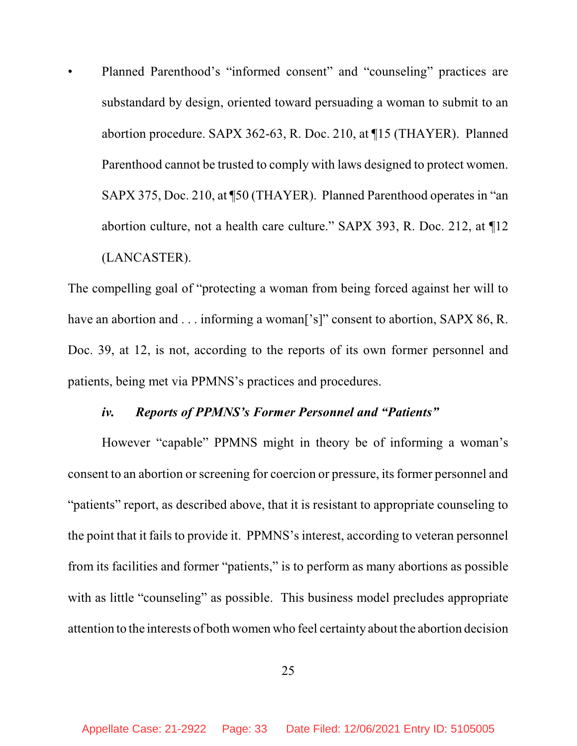• Planned Parenthood's "informed consent" and "counseling" practices are substandard by design, oriented toward persuading a woman to submit to an abortion procedure. SAPX 362-63, R. Doc. 210, at ¶15 (THAYER). Planned Parenthood cannot be trusted to comply with laws designed to protect women. SAPX 375, Doc. 210, at ¶50 (THAYER). Planned Parenthood operates in "an abortion culture, not a health care culture." SAPX 393, R. Doc. 212, at ¶12 (LANCASTER).

The compelling goal of "protecting a woman from being forced against her will to have an abortion and . . . informing a woman<sup>['s]"</sup> consent to abortion, SAPX 86, R. Doc. 39, at 12, is not, according to the reports of its own former personnel and patients, being met via PPMNS's practices and procedures.

## *iv. Reports of PPMNS's Former Personnel and "Patients"*

However "capable" PPMNS might in theory be of informing a woman's consent to an abortion or screening for coercion or pressure, its former personnel and "patients" report, as described above, that it is resistant to appropriate counseling to the point that it fails to provide it. PPMNS's interest, according to veteran personnel from its facilities and former "patients," is to perform as many abortions as possible with as little "counseling" as possible. This business model precludes appropriate attention to the interests of both women who feel certainty about the abortion decision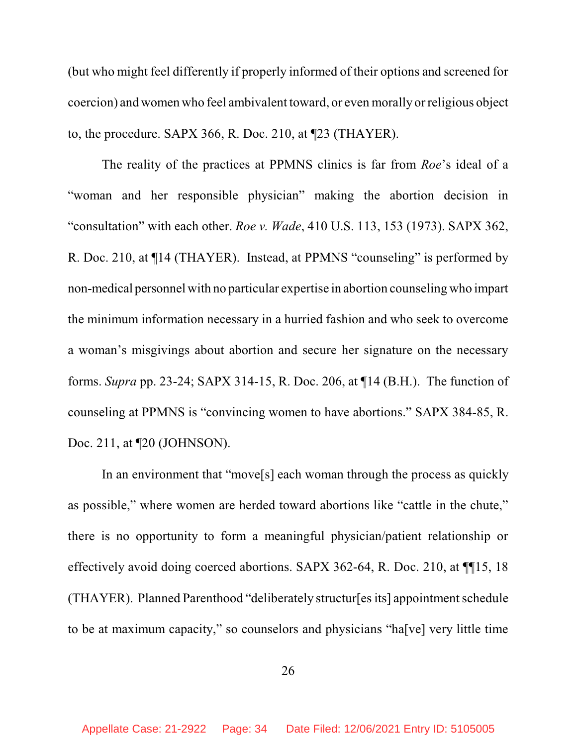(but who might feel differently if properly informed of their options and screened for coercion) and women who feel ambivalent toward, or even morally or religious object to, the procedure. SAPX 366, R. Doc. 210, at ¶23 (THAYER).

The reality of the practices at PPMNS clinics is far from *Roe*'s ideal of a "woman and her responsible physician" making the abortion decision in "consultation" with each other. *Roe v. Wade*, 410 U.S. 113, 153 (1973). SAPX 362, R. Doc. 210, at ¶14 (THAYER). Instead, at PPMNS "counseling" is performed by non-medical personnel with no particular expertise in abortion counseling who impart the minimum information necessary in a hurried fashion and who seek to overcome a woman's misgivings about abortion and secure her signature on the necessary forms. *Supra* pp. 23-24; SAPX 314-15, R. Doc. 206, at ¶14 (B.H.). The function of counseling at PPMNS is "convincing women to have abortions." SAPX 384-85, R. Doc. 211, at ¶20 (JOHNSON).

In an environment that "move[s] each woman through the process as quickly as possible," where women are herded toward abortions like "cattle in the chute," there is no opportunity to form a meaningful physician/patient relationship or effectively avoid doing coerced abortions. SAPX 362-64, R. Doc. 210, at ¶¶15, 18 (THAYER). Planned Parenthood "deliberately structur[es its] appointment schedule to be at maximum capacity," so counselors and physicians "ha[ve] very little time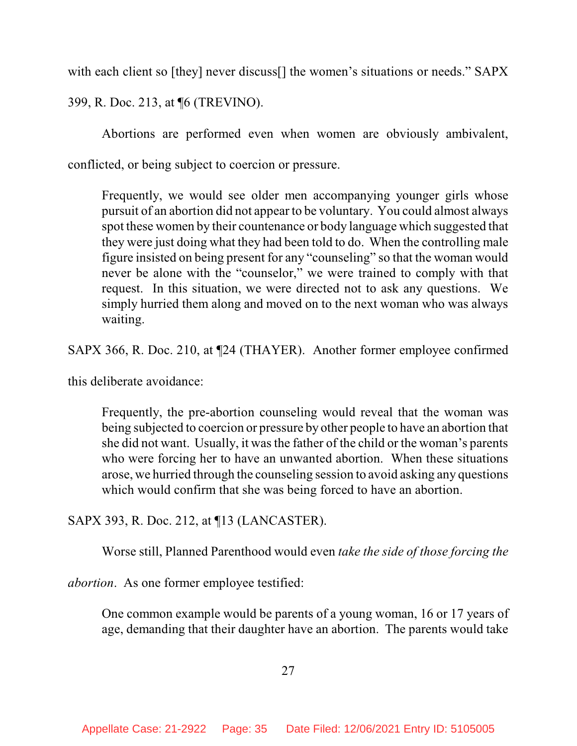with each client so [they] never discuss<sup>[]</sup> the women's situations or needs." SAPX

399, R. Doc. 213, at ¶6 (TREVINO).

Abortions are performed even when women are obviously ambivalent,

conflicted, or being subject to coercion or pressure.

Frequently, we would see older men accompanying younger girls whose pursuit of an abortion did not appear to be voluntary. You could almost always spot these women by their countenance or body language which suggested that they were just doing what they had been told to do. When the controlling male figure insisted on being present for any "counseling" so that the woman would never be alone with the "counselor," we were trained to comply with that request. In this situation, we were directed not to ask any questions. We simply hurried them along and moved on to the next woman who was always waiting.

SAPX 366, R. Doc. 210, at ¶24 (THAYER). Another former employee confirmed

this deliberate avoidance:

Frequently, the pre-abortion counseling would reveal that the woman was being subjected to coercion or pressure by other people to have an abortion that she did not want. Usually, it wasthe father of the child or the woman's parents who were forcing her to have an unwanted abortion. When these situations arose, we hurried through the counseling session to avoid asking any questions which would confirm that she was being forced to have an abortion.

SAPX 393, R. Doc. 212, at ¶13 (LANCASTER).

Worse still, Planned Parenthood would even *take the side of those forcing the*

*abortion*. As one former employee testified:

One common example would be parents of a young woman, 16 or 17 years of age, demanding that their daughter have an abortion. The parents would take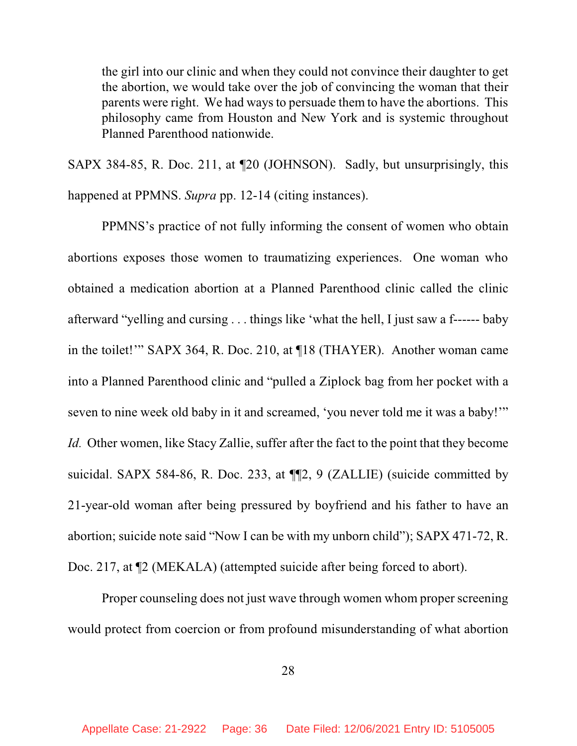the girl into our clinic and when they could not convince their daughter to get the abortion, we would take over the job of convincing the woman that their parents were right. We had ways to persuade them to have the abortions. This philosophy came from Houston and New York and is systemic throughout Planned Parenthood nationwide.

SAPX 384-85, R. Doc. 211, at ¶20 (JOHNSON). Sadly, but unsurprisingly, this happened at PPMNS. *Supra* pp. 12-14 (citing instances).

PPMNS's practice of not fully informing the consent of women who obtain abortions exposes those women to traumatizing experiences. One woman who obtained a medication abortion at a Planned Parenthood clinic called the clinic afterward "yelling and cursing . . . things like 'what the hell, I just saw a f------ baby in the toilet!'" SAPX 364, R. Doc. 210, at ¶18 (THAYER). Another woman came into a Planned Parenthood clinic and "pulled a Ziplock bag from her pocket with a seven to nine week old baby in it and screamed, 'you never told me it was a baby!'" *Id.* Other women, like Stacy Zallie, suffer after the fact to the point that they become suicidal. SAPX 584-86, R. Doc. 233, at ¶¶2, 9 (ZALLIE) (suicide committed by 21-year-old woman after being pressured by boyfriend and his father to have an abortion; suicide note said "Now I can be with my unborn child"); SAPX 471-72, R. Doc. 217, at  $\mathbb{Z}$  (MEKALA) (attempted suicide after being forced to abort).

Proper counseling does not just wave through women whom proper screening would protect from coercion or from profound misunderstanding of what abortion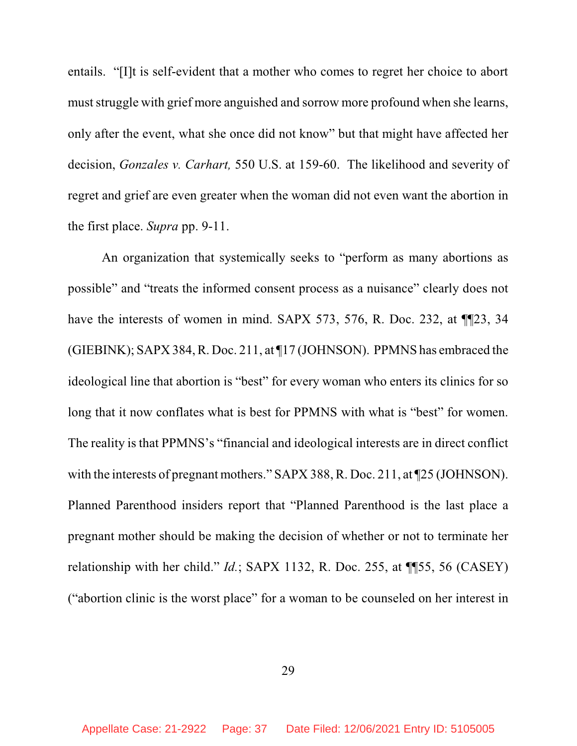entails. "[I]t is self-evident that a mother who comes to regret her choice to abort must struggle with grief more anguished and sorrow more profound when she learns, only after the event, what she once did not know" but that might have affected her decision, *Gonzales v. Carhart,* 550 U.S. at 159-60. The likelihood and severity of regret and grief are even greater when the woman did not even want the abortion in the first place. *Supra* pp. 9-11.

An organization that systemically seeks to "perform as many abortions as possible" and "treats the informed consent process as a nuisance" clearly does not have the interests of women in mind. SAPX 573, 576, R. Doc. 232, at  $\P$ [23, 34] (GIEBINK); SAPX 384, R. Doc. 211, at ¶17 (JOHNSON). PPMNS has embraced the ideological line that abortion is "best" for every woman who enters its clinics for so long that it now conflates what is best for PPMNS with what is "best" for women. The reality is that PPMNS's "financial and ideological interests are in direct conflict with the interests of pregnant mothers." SAPX 388, R. Doc. 211, at  $\text{\textsterling}25$  (JOHNSON). Planned Parenthood insiders report that "Planned Parenthood is the last place a pregnant mother should be making the decision of whether or not to terminate her relationship with her child." *Id.*; SAPX 1132, R. Doc. 255, at ¶¶55, 56 (CASEY) ("abortion clinic is the worst place" for a woman to be counseled on her interest in

29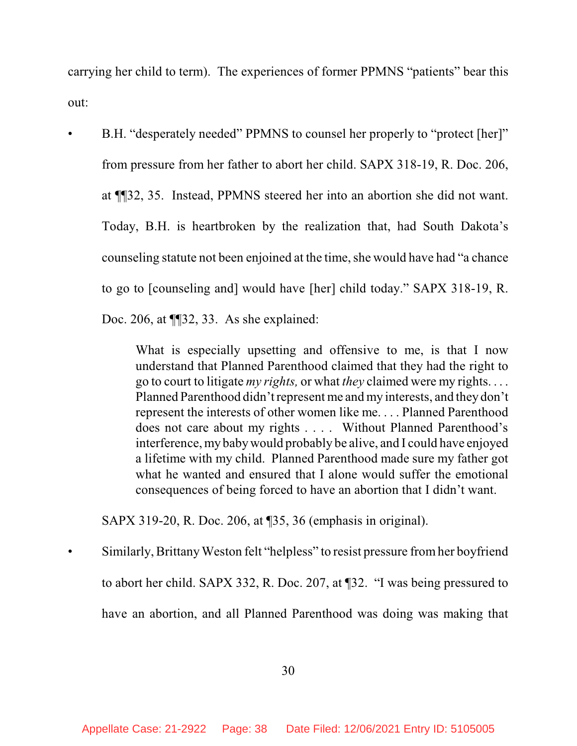carrying her child to term). The experiences of former PPMNS "patients" bear this out:

• B.H. "desperately needed" PPMNS to counsel her properly to "protect [her]" from pressure from her father to abort her child. SAPX 318-19, R. Doc. 206, at ¶¶32, 35. Instead, PPMNS steered her into an abortion she did not want. Today, B.H. is heartbroken by the realization that, had South Dakota's counseling statute not been enjoined at the time, she would have had "a chance to go to [counseling and] would have [her] child today." SAPX 318-19, R. Doc. 206, at ¶¶32, 33. As she explained:

> What is especially upsetting and offensive to me, is that I now understand that Planned Parenthood claimed that they had the right to go to court to litigate *my rights,* or what *they* claimed were my rights. . . . Planned Parenthood didn'trepresent me and my interests, and they don't represent the interests of other women like me. . . . Planned Parenthood does not care about my rights . . . . Without Planned Parenthood's interference, my babywould probably be alive, and I could have enjoyed a lifetime with my child. Planned Parenthood made sure my father got what he wanted and ensured that I alone would suffer the emotional consequences of being forced to have an abortion that I didn't want.

SAPX 319-20, R. Doc. 206, at ¶35, 36 (emphasis in original).

Similarly, Brittany Weston felt "helpless" to resist pressure from her boyfriend to abort her child. SAPX 332, R. Doc. 207, at ¶32. "I was being pressured to have an abortion, and all Planned Parenthood was doing was making that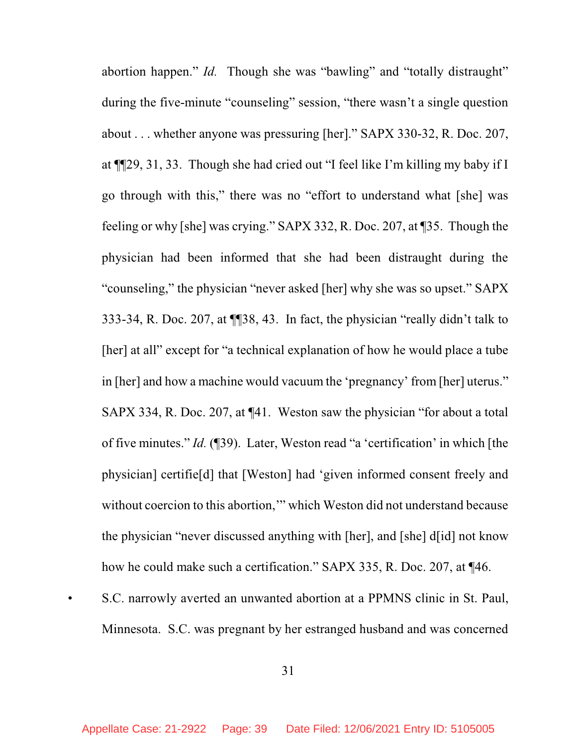abortion happen." *Id.* Though she was "bawling" and "totally distraught" during the five-minute "counseling" session, "there wasn't a single question about . . . whether anyone was pressuring [her]." SAPX 330-32, R. Doc. 207, at ¶¶29, 31, 33. Though she had cried out "I feel like I'm killing my baby if I go through with this," there was no "effort to understand what [she] was feeling or why [she] was crying." SAPX 332, R. Doc. 207, at ¶35. Though the physician had been informed that she had been distraught during the "counseling," the physician "never asked [her] why she was so upset." SAPX 333-34, R. Doc. 207, at ¶¶38, 43. In fact, the physician "really didn't talk to [her] at all" except for "a technical explanation of how he would place a tube in [her] and how a machine would vacuum the 'pregnancy' from [her] uterus." SAPX 334, R. Doc. 207, at ¶41. Weston saw the physician "for about a total of five minutes." *Id.* (¶39). Later, Weston read "a 'certification' in which [the physician] certifie[d] that [Weston] had 'given informed consent freely and without coercion to this abortion," which Weston did not understand because the physician "never discussed anything with [her], and [she] d[id] not know how he could make such a certification." SAPX 335, R. Doc. 207, at ¶46.

• S.C. narrowly averted an unwanted abortion at a PPMNS clinic in St. Paul, Minnesota. S.C. was pregnant by her estranged husband and was concerned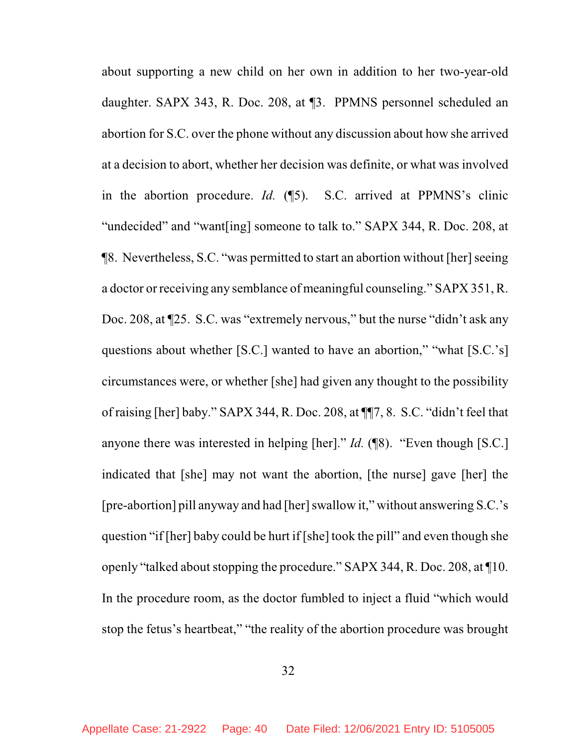about supporting a new child on her own in addition to her two-year-old daughter. SAPX 343, R. Doc. 208, at ¶3. PPMNS personnel scheduled an abortion for S.C. over the phone without any discussion about how she arrived at a decision to abort, whether her decision was definite, or what was involved in the abortion procedure. *Id.* (¶5). S.C. arrived at PPMNS's clinic "undecided" and "want[ing] someone to talk to." SAPX 344, R. Doc. 208, at ¶8. Nevertheless, S.C. "was permitted to start an abortion without [her]seeing a doctor or receiving any semblance of meaningful counseling." SAPX 351, R. Doc. 208, at ¶25. S.C. was "extremely nervous," but the nurse "didn't ask any questions about whether [S.C.] wanted to have an abortion," "what [S.C.'s] circumstances were, or whether [she] had given any thought to the possibility of raising [her] baby." SAPX 344, R. Doc. 208, at ¶¶7, 8. S.C. "didn't feel that anyone there was interested in helping [her]." *Id.* (¶8). "Even though [S.C.] indicated that [she] may not want the abortion, [the nurse] gave [her] the [pre-abortion] pill anyway and had [her] swallow it," without answering S.C.'s question "if [her] baby could be hurt if [she] took the pill" and even though she openly "talked about stopping the procedure." SAPX 344, R. Doc. 208, at  $\P$ 10. In the procedure room, as the doctor fumbled to inject a fluid "which would stop the fetus's heartbeat," "the reality of the abortion procedure was brought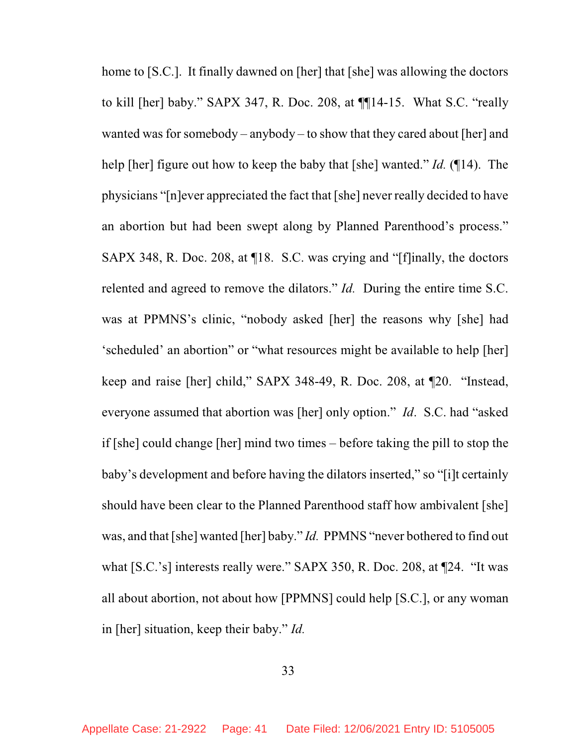home to [S.C.]. It finally dawned on [her] that [she] was allowing the doctors to kill [her] baby." SAPX 347, R. Doc. 208, at ¶¶14-15. What S.C. "really wanted was for somebody – anybody – to show that they cared about [her] and help [her] figure out how to keep the baby that [she] wanted." *Id.* (¶14). The physicians "[n]ever appreciated the fact that [she] never really decided to have an abortion but had been swept along by Planned Parenthood's process." SAPX 348, R. Doc. 208, at ¶18. S.C. was crying and "[f]inally, the doctors relented and agreed to remove the dilators." *Id.* During the entire time S.C. was at PPMNS's clinic, "nobody asked [her] the reasons why [she] had 'scheduled' an abortion" or "what resources might be available to help [her] keep and raise [her] child," SAPX 348-49, R. Doc. 208, at ¶20. "Instead, everyone assumed that abortion was [her] only option." *Id*. S.C. had "asked if [she] could change [her] mind two times – before taking the pill to stop the baby's development and before having the dilators inserted," so "[i]t certainly should have been clear to the Planned Parenthood staff how ambivalent [she] was, and that [she] wanted [her] baby." *Id.* PPMNS "never bothered to find out what [S.C.'s] interests really were." SAPX 350, R. Doc. 208, at ¶24. "It was all about abortion, not about how [PPMNS] could help [S.C.], or any woman in [her] situation, keep their baby." *Id.*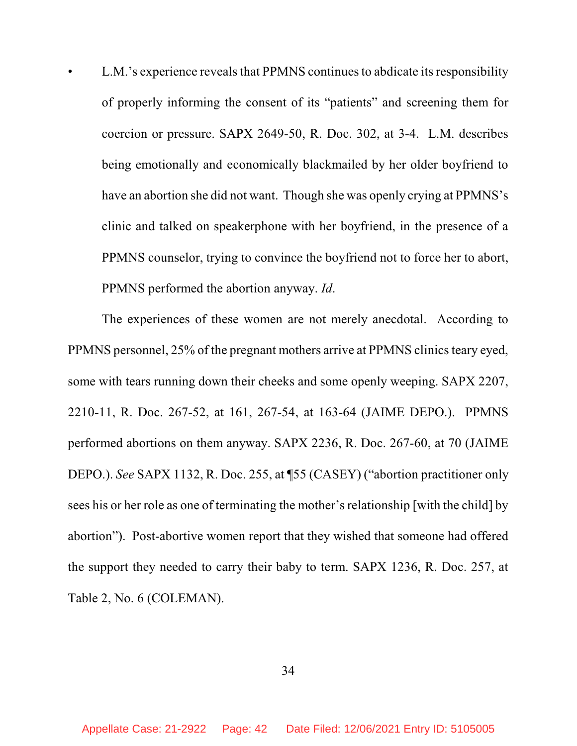L.M.'s experience reveals that PPMNS continues to abdicate its responsibility of properly informing the consent of its "patients" and screening them for coercion or pressure. SAPX 2649-50, R. Doc. 302, at 3-4. L.M. describes being emotionally and economically blackmailed by her older boyfriend to have an abortion she did not want. Though she was openly crying at PPMNS's clinic and talked on speakerphone with her boyfriend, in the presence of a PPMNS counselor, trying to convince the boyfriend not to force her to abort, PPMNS performed the abortion anyway. *Id*.

The experiences of these women are not merely anecdotal. According to PPMNS personnel, 25% of the pregnant mothers arrive at PPMNS clinicsteary eyed, some with tears running down their cheeks and some openly weeping. SAPX 2207, 2210-11, R. Doc. 267-52, at 161, 267-54, at 163-64 (JAIME DEPO.). PPMNS performed abortions on them anyway. SAPX 2236, R. Doc. 267-60, at 70 (JAIME DEPO.). *See* SAPX 1132, R. Doc. 255, at ¶55 (CASEY) ("abortion practitioner only sees his or her role as one of terminating the mother's relationship [with the child] by abortion"). Post-abortive women report that they wished that someone had offered the support they needed to carry their baby to term. SAPX 1236, R. Doc. 257, at Table 2, No. 6 (COLEMAN).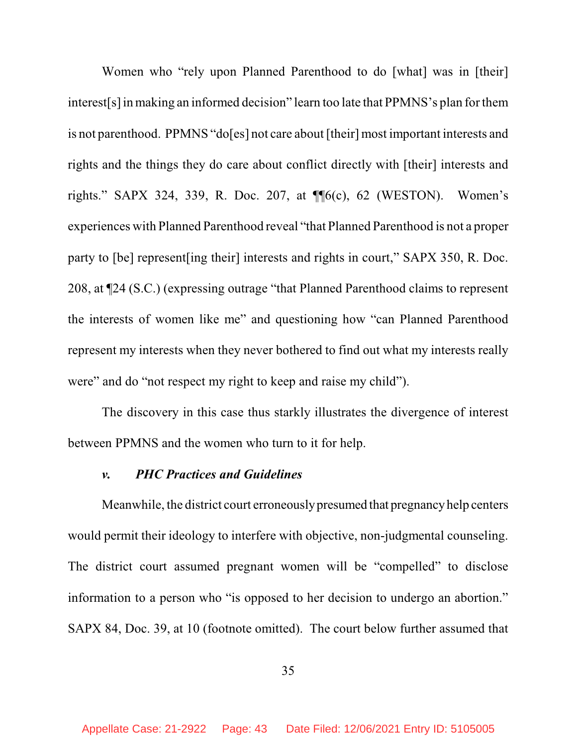Women who "rely upon Planned Parenthood to do [what] was in [their] interest[s]inmaking an informed decision" learn too late that PPMNS's plan for them is not parenthood. PPMNS "do[es] not care about [their] most important interests and rights and the things they do care about conflict directly with [their] interests and rights." SAPX 324, 339, R. Doc. 207, at ¶¶6(c), 62 (WESTON). Women's experiences with Planned Parenthood reveal "that Planned Parenthood is not a proper party to [be] represent[ing their] interests and rights in court," SAPX 350, R. Doc. 208, at ¶24 (S.C.) (expressing outrage "that Planned Parenthood claims to represent the interests of women like me" and questioning how "can Planned Parenthood represent my interests when they never bothered to find out what my interests really were" and do "not respect my right to keep and raise my child").

The discovery in this case thus starkly illustrates the divergence of interest between PPMNS and the women who turn to it for help.

### *v. PHC Practices and Guidelines*

Meanwhile, the district court erroneouslypresumed that pregnancy help centers would permit their ideology to interfere with objective, non-judgmental counseling. The district court assumed pregnant women will be "compelled" to disclose information to a person who "is opposed to her decision to undergo an abortion." SAPX 84, Doc. 39, at 10 (footnote omitted). The court below further assumed that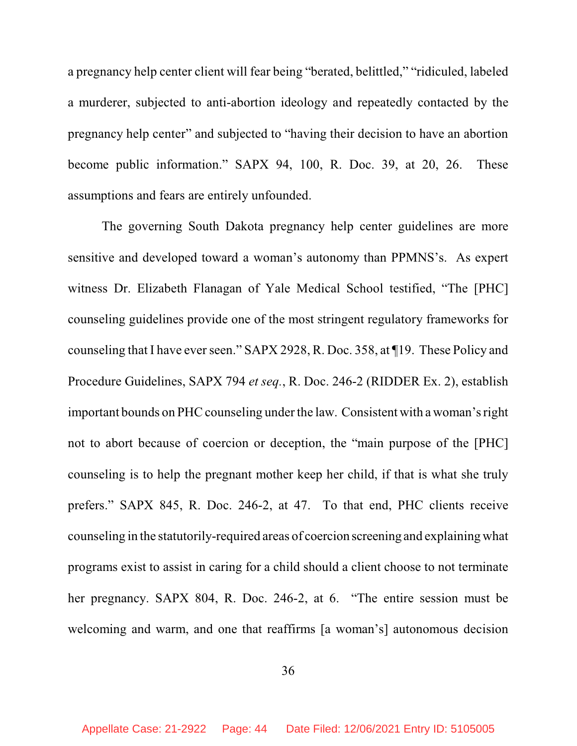a pregnancy help center client will fear being "berated, belittled," "ridiculed, labeled a murderer, subjected to anti-abortion ideology and repeatedly contacted by the pregnancy help center" and subjected to "having their decision to have an abortion become public information." SAPX 94, 100, R. Doc. 39, at 20, 26. These assumptions and fears are entirely unfounded.

The governing South Dakota pregnancy help center guidelines are more sensitive and developed toward a woman's autonomy than PPMNS's. As expert witness Dr. Elizabeth Flanagan of Yale Medical School testified, "The [PHC] counseling guidelines provide one of the most stringent regulatory frameworks for counseling that I have ever seen." SAPX 2928, R. Doc. 358, at ¶19. These Policy and Procedure Guidelines, SAPX 794 *et seq.*, R. Doc. 246-2 (RIDDER Ex. 2), establish important bounds on PHC counseling under the law. Consistent with a woman's right not to abort because of coercion or deception, the "main purpose of the [PHC] counseling is to help the pregnant mother keep her child, if that is what she truly prefers." SAPX 845, R. Doc. 246-2, at 47. To that end, PHC clients receive counseling in the statutorily-required areas of coercion screening and explaining what programs exist to assist in caring for a child should a client choose to not terminate her pregnancy. SAPX 804, R. Doc. 246-2, at 6. "The entire session must be welcoming and warm, and one that reaffirms [a woman's] autonomous decision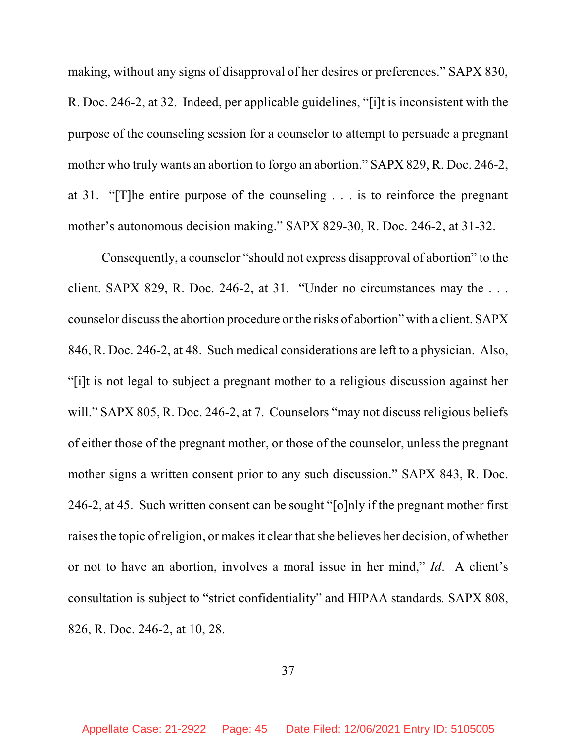making, without any signs of disapproval of her desires or preferences." SAPX 830, R. Doc. 246-2, at 32. Indeed, per applicable guidelines, "[i]t is inconsistent with the purpose of the counseling session for a counselor to attempt to persuade a pregnant mother who truly wants an abortion to forgo an abortion." SAPX 829, R. Doc. 246-2, at 31. "[T]he entire purpose of the counseling . . . is to reinforce the pregnant mother's autonomous decision making." SAPX 829-30, R. Doc. 246-2, at 31-32.

Consequently, a counselor "should not express disapproval of abortion" to the client. SAPX 829, R. Doc. 246-2, at 31. "Under no circumstances may the . . . counselor discussthe abortion procedure or the risks of abortion" with a client. SAPX 846, R. Doc. 246-2, at 48. Such medical considerations are left to a physician. Also, "[i]t is not legal to subject a pregnant mother to a religious discussion against her will." SAPX 805, R. Doc. 246-2, at 7. Counselors "may not discuss religious beliefs" of either those of the pregnant mother, or those of the counselor, unless the pregnant mother signs a written consent prior to any such discussion." SAPX 843, R. Doc. 246-2, at 45. Such written consent can be sought "[o]nly if the pregnant mother first raises the topic of religion, or makes it clear that she believes her decision, of whether or not to have an abortion, involves a moral issue in her mind," *Id*. A client's consultation is subject to "strict confidentiality" and HIPAA standards*.* SAPX 808, 826, R. Doc. 246-2, at 10, 28.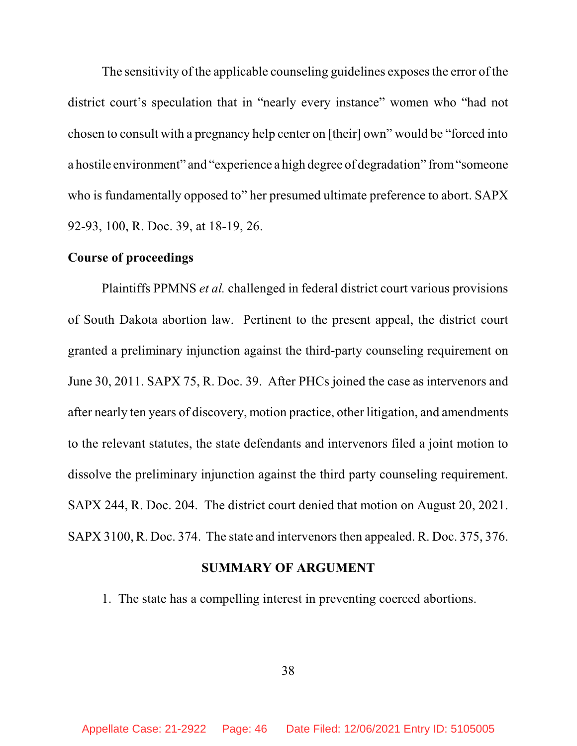The sensitivity of the applicable counseling guidelines exposes the error of the district court's speculation that in "nearly every instance" women who "had not chosen to consult with a pregnancy help center on [their] own" would be "forced into a hostile environment" and "experience a high degree of degradation" from"someone who is fundamentally opposed to" her presumed ultimate preference to abort. SAPX 92-93, 100, R. Doc. 39, at 18-19, 26.

### **Course of proceedings**

Plaintiffs PPMNS *et al.* challenged in federal district court various provisions of South Dakota abortion law. Pertinent to the present appeal, the district court granted a preliminary injunction against the third-party counseling requirement on June 30, 2011. SAPX 75, R. Doc. 39. After PHCs joined the case as intervenors and after nearly ten years of discovery, motion practice, other litigation, and amendments to the relevant statutes, the state defendants and intervenors filed a joint motion to dissolve the preliminary injunction against the third party counseling requirement. SAPX 244, R. Doc. 204. The district court denied that motion on August 20, 2021. SAPX 3100, R. Doc. 374. The state and intervenors then appealed. R. Doc. 375, 376.

### **SUMMARY OF ARGUMENT**

1. The state has a compelling interest in preventing coerced abortions.

38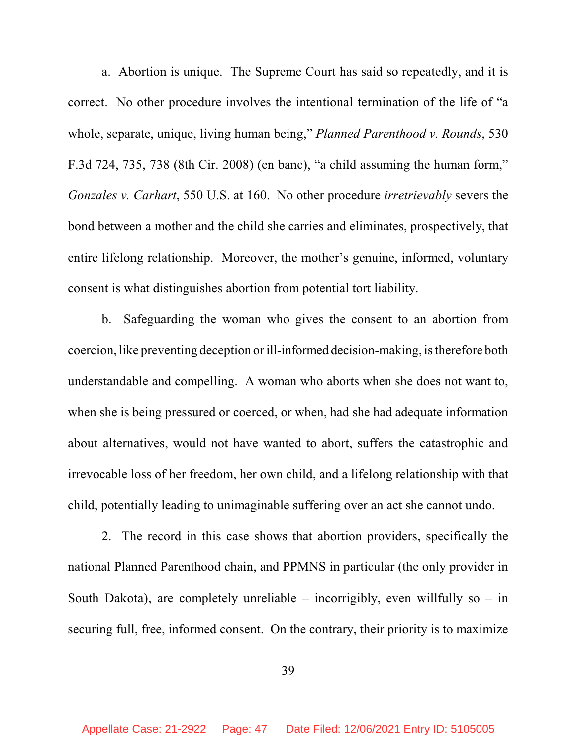a. Abortion is unique. The Supreme Court has said so repeatedly, and it is correct. No other procedure involves the intentional termination of the life of "a whole, separate, unique, living human being," *Planned Parenthood v. Rounds*, 530 F.3d 724, 735, 738 (8th Cir. 2008) (en banc), "a child assuming the human form," *Gonzales v. Carhart*, 550 U.S. at 160. No other procedure *irretrievably* severs the bond between a mother and the child she carries and eliminates, prospectively, that entire lifelong relationship. Moreover, the mother's genuine, informed, voluntary consent is what distinguishes abortion from potential tort liability.

b. Safeguarding the woman who gives the consent to an abortion from coercion, like preventing deception or ill-informed decision-making, istherefore both understandable and compelling. A woman who aborts when she does not want to, when she is being pressured or coerced, or when, had she had adequate information about alternatives, would not have wanted to abort, suffers the catastrophic and irrevocable loss of her freedom, her own child, and a lifelong relationship with that child, potentially leading to unimaginable suffering over an act she cannot undo.

2. The record in this case shows that abortion providers, specifically the national Planned Parenthood chain, and PPMNS in particular (the only provider in South Dakota), are completely unreliable – incorrigibly, even willfully so – in securing full, free, informed consent. On the contrary, their priority is to maximize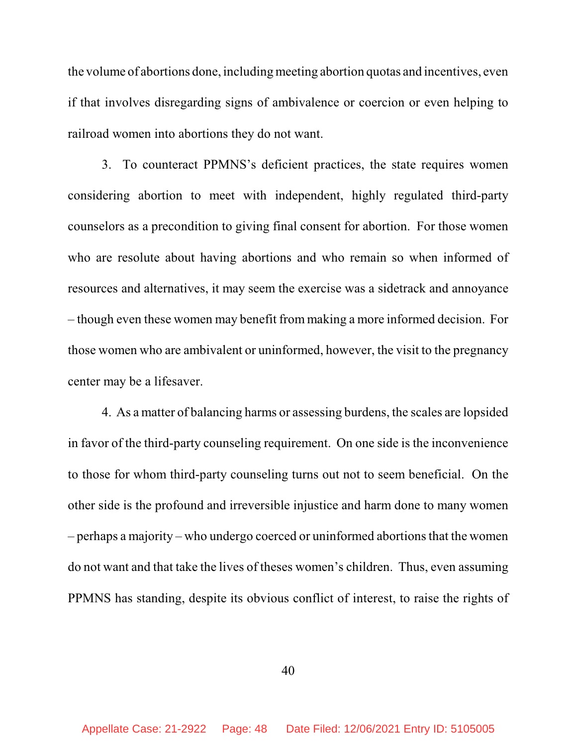the volume of abortions done, including meeting abortion quotas and incentives, even if that involves disregarding signs of ambivalence or coercion or even helping to railroad women into abortions they do not want.

3. To counteract PPMNS's deficient practices, the state requires women considering abortion to meet with independent, highly regulated third-party counselors as a precondition to giving final consent for abortion. For those women who are resolute about having abortions and who remain so when informed of resources and alternatives, it may seem the exercise was a sidetrack and annoyance – though even these women may benefit from making a more informed decision. For those women who are ambivalent or uninformed, however, the visit to the pregnancy center may be a lifesaver.

4. As a matter of balancing harms or assessing burdens, the scales are lopsided in favor of the third-party counseling requirement. On one side is the inconvenience to those for whom third-party counseling turns out not to seem beneficial. On the other side is the profound and irreversible injustice and harm done to many women – perhaps a majority – who undergo coerced or uninformed abortions that the women do not want and that take the lives of theses women's children. Thus, even assuming PPMNS has standing, despite its obvious conflict of interest, to raise the rights of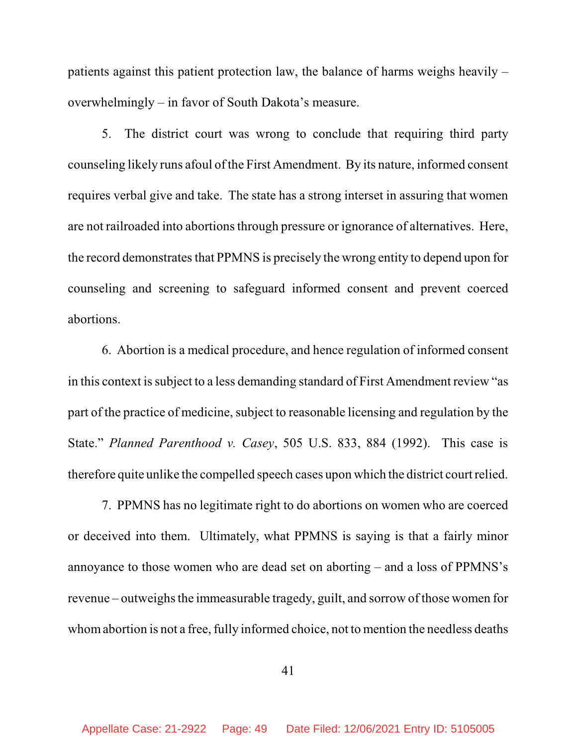patients against this patient protection law, the balance of harms weighs heavily – overwhelmingly – in favor of South Dakota's measure.

5. The district court was wrong to conclude that requiring third party counseling likely runs afoul of the First Amendment. By its nature, informed consent requires verbal give and take. The state has a strong interset in assuring that women are not railroaded into abortions through pressure or ignorance of alternatives. Here, the record demonstrates that PPMNS is precisely the wrong entity to depend upon for counseling and screening to safeguard informed consent and prevent coerced abortions.

6. Abortion is a medical procedure, and hence regulation of informed consent in this context is subject to a less demanding standard of First Amendment review "as part of the practice of medicine, subject to reasonable licensing and regulation by the State." *Planned Parenthood v. Casey*, 505 U.S. 833, 884 (1992). This case is therefore quite unlike the compelled speech cases upon which the district courtrelied.

7. PPMNS has no legitimate right to do abortions on women who are coerced or deceived into them. Ultimately, what PPMNS is saying is that a fairly minor annoyance to those women who are dead set on aborting – and a loss of PPMNS's revenue – outweighs the immeasurable tragedy, guilt, and sorrow of those women for whomabortion is not a free, fully informed choice, not to mention the needless deaths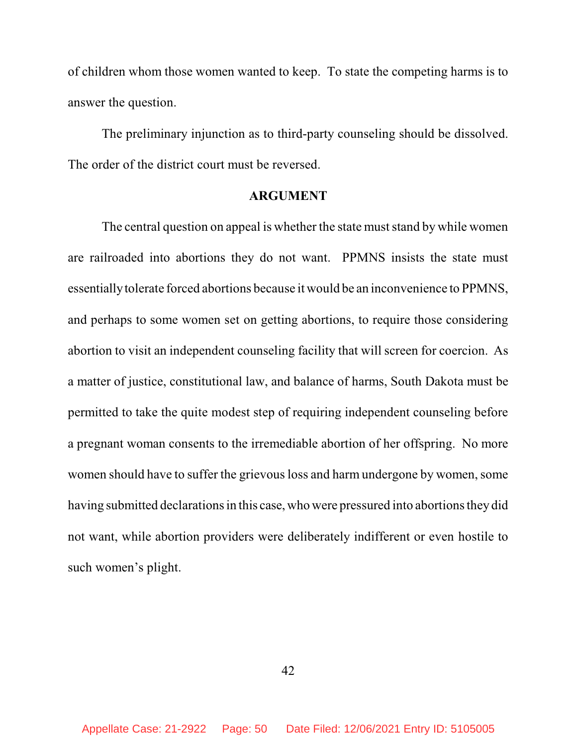of children whom those women wanted to keep. To state the competing harms is to answer the question.

The preliminary injunction as to third-party counseling should be dissolved. The order of the district court must be reversed.

### **ARGUMENT**

The central question on appeal is whether the state must stand by while women are railroaded into abortions they do not want. PPMNS insists the state must essentiallytolerate forced abortions because it would be an inconvenience to PPMNS, and perhaps to some women set on getting abortions, to require those considering abortion to visit an independent counseling facility that will screen for coercion. As a matter of justice, constitutional law, and balance of harms, South Dakota must be permitted to take the quite modest step of requiring independent counseling before a pregnant woman consents to the irremediable abortion of her offspring. No more women should have to suffer the grievous loss and harm undergone by women, some having submitted declarations in this case, who were pressured into abortions they did not want, while abortion providers were deliberately indifferent or even hostile to such women's plight.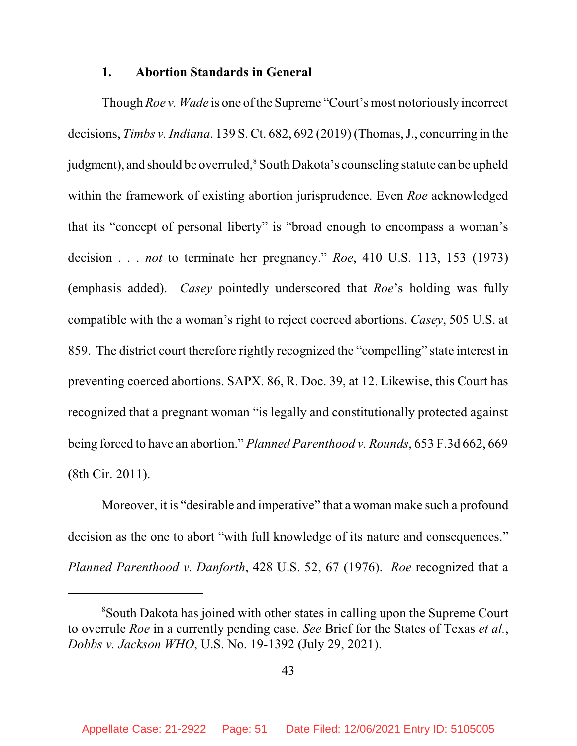#### **1. Abortion Standards in General**

Though *Roe v. Wade* is one of the Supreme "Court's most notoriously incorrect decisions, *Timbs v. Indiana*. 139 S. Ct. 682, 692 (2019) (Thomas, J., concurring in the judgment), and should be overruled, <sup>8</sup> South Dakota's counseling statute can be upheld within the framework of existing abortion jurisprudence. Even *Roe* acknowledged that its "concept of personal liberty" is "broad enough to encompass a woman's decision . . . *not* to terminate her pregnancy." *Roe*, 410 U.S. 113, 153 (1973) (emphasis added). *Casey* pointedly underscored that *Roe*'s holding was fully compatible with the a woman's right to reject coerced abortions. *Casey*, 505 U.S. at 859. The district court therefore rightly recognized the "compelling" state interest in preventing coerced abortions. SAPX. 86, R. Doc. 39, at 12. Likewise, this Court has recognized that a pregnant woman "is legally and constitutionally protected against being forced to have an abortion." *Planned Parenthood v. Rounds*, 653 F.3d 662, 669 (8th Cir. 2011).

Moreover, it is "desirable and imperative" that a woman make such a profound decision as the one to abort "with full knowledge of its nature and consequences." *Planned Parenthood v. Danforth*, 428 U.S. 52, 67 (1976). *Roe* recognized that a

<sup>8</sup>South Dakota has joined with other states in calling upon the Supreme Court to overrule *Roe* in a currently pending case. *See* Brief for the States of Texas *et al.*, *Dobbs v. Jackson WHO*, U.S. No. 19-1392 (July 29, 2021).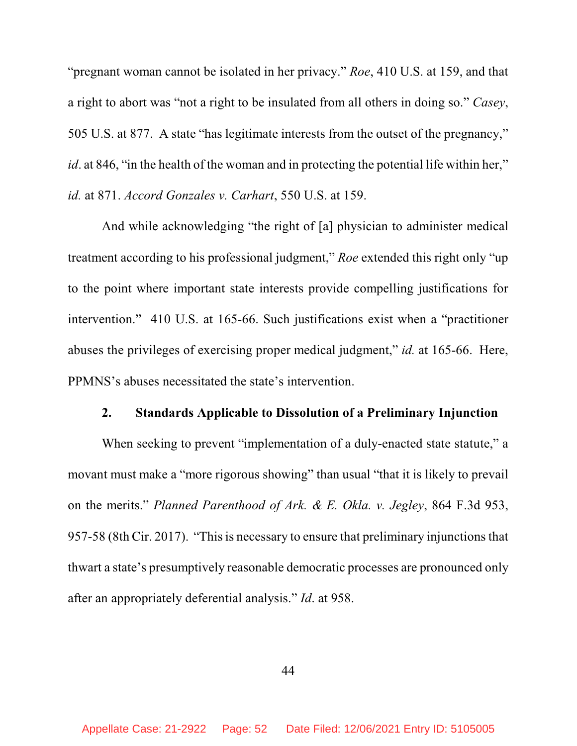"pregnant woman cannot be isolated in her privacy." *Roe*, 410 U.S. at 159, and that a right to abort was "not a right to be insulated from all others in doing so." *Casey*, 505 U.S. at 877. A state "has legitimate interests from the outset of the pregnancy," *id*. at 846, "in the health of the woman and in protecting the potential life within her," *id.* at 871. *Accord Gonzales v. Carhart*, 550 U.S. at 159.

And while acknowledging "the right of [a] physician to administer medical treatment according to his professional judgment," *Roe* extended this right only "up to the point where important state interests provide compelling justifications for intervention." 410 U.S. at 165-66. Such justifications exist when a "practitioner abuses the privileges of exercising proper medical judgment," *id.* at 165-66. Here, PPMNS's abuses necessitated the state's intervention.

#### **2. Standards Applicable to Dissolution of a Preliminary Injunction**

When seeking to prevent "implementation of a duly-enacted state statute," a movant must make a "more rigorous showing" than usual "that it is likely to prevail on the merits." *Planned Parenthood of Ark. & E. Okla. v. Jegley*, 864 F.3d 953, 957-58 (8th Cir. 2017). "This is necessary to ensure that preliminary injunctions that thwart a state's presumptively reasonable democratic processes are pronounced only after an appropriately deferential analysis." *Id*. at 958.

44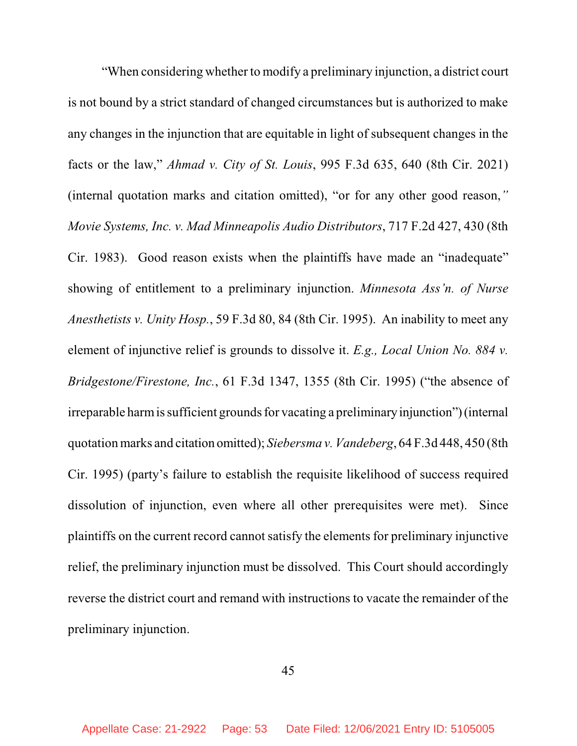"When considering whether to modify a preliminary injunction, a district court is not bound by a strict standard of changed circumstances but is authorized to make any changes in the injunction that are equitable in light of subsequent changes in the facts or the law," *Ahmad v. City of St. Louis*, 995 F.3d 635, 640 (8th Cir. 2021) (internal quotation marks and citation omitted), "or for any other good reason,*" Movie Systems, Inc. v. Mad Minneapolis Audio Distributors*, 717 F.2d 427, 430 (8th Cir. 1983). Good reason exists when the plaintiffs have made an "inadequate" showing of entitlement to a preliminary injunction. *Minnesota Ass'n. of Nurse Anesthetists v. Unity Hosp.*, 59 F.3d 80, 84 (8th Cir. 1995). An inability to meet any element of injunctive relief is grounds to dissolve it. *E.g., Local Union No. 884 v. Bridgestone/Firestone, Inc.*, 61 F.3d 1347, 1355 (8th Cir. 1995) ("the absence of irreparable harm is sufficient grounds for vacating a preliminary injunction") (internal quotationmarks and citation omitted); *Siebersma v. Vandeberg*, 64 F.3d 448, 450 (8th Cir. 1995) (party's failure to establish the requisite likelihood of success required dissolution of injunction, even where all other prerequisites were met). Since plaintiffs on the current record cannot satisfy the elements for preliminary injunctive relief, the preliminary injunction must be dissolved. This Court should accordingly reverse the district court and remand with instructions to vacate the remainder of the preliminary injunction.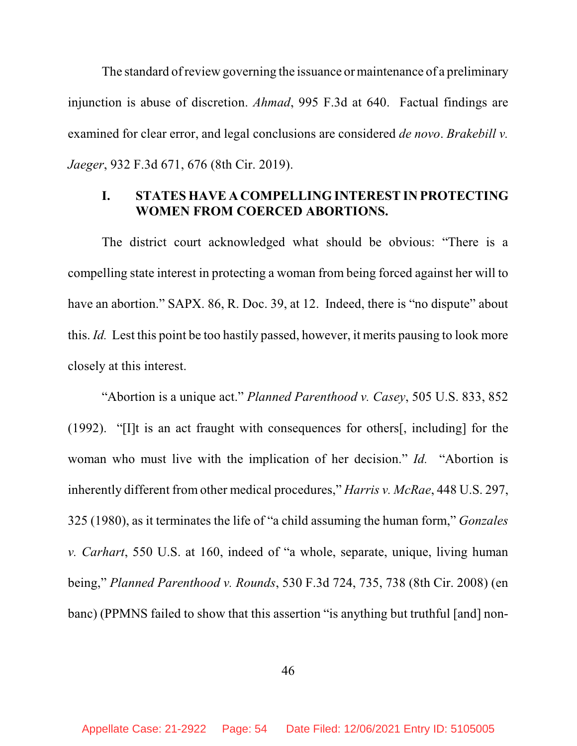The standard of review governing the issuance or maintenance of a preliminary injunction is abuse of discretion. *Ahmad*, 995 F.3d at 640. Factual findings are examined for clear error, and legal conclusions are considered *de novo*. *Brakebill v. Jaeger*, 932 F.3d 671, 676 (8th Cir. 2019).

## **I. STATES HAVE A COMPELLING INTEREST IN PROTECTING WOMEN FROM COERCED ABORTIONS.**

The district court acknowledged what should be obvious: "There is a compelling state interest in protecting a woman from being forced against her will to have an abortion." SAPX. 86, R. Doc. 39, at 12. Indeed, there is "no dispute" about this. *Id.* Lest this point be too hastily passed, however, it merits pausing to look more closely at this interest.

"Abortion is a unique act." *Planned Parenthood v. Casey*, 505 U.S. 833, 852 (1992). "[I]t is an act fraught with consequences for others[, including] for the woman who must live with the implication of her decision." *Id.* "Abortion is inherently different from other medical procedures," *Harris v. McRae*, 448 U.S. 297, 325 (1980), as it terminates the life of "a child assuming the human form," *Gonzales v. Carhart*, 550 U.S. at 160, indeed of "a whole, separate, unique, living human being," *Planned Parenthood v. Rounds*, 530 F.3d 724, 735, 738 (8th Cir. 2008) (en banc) (PPMNS failed to show that this assertion "is anything but truthful [and] non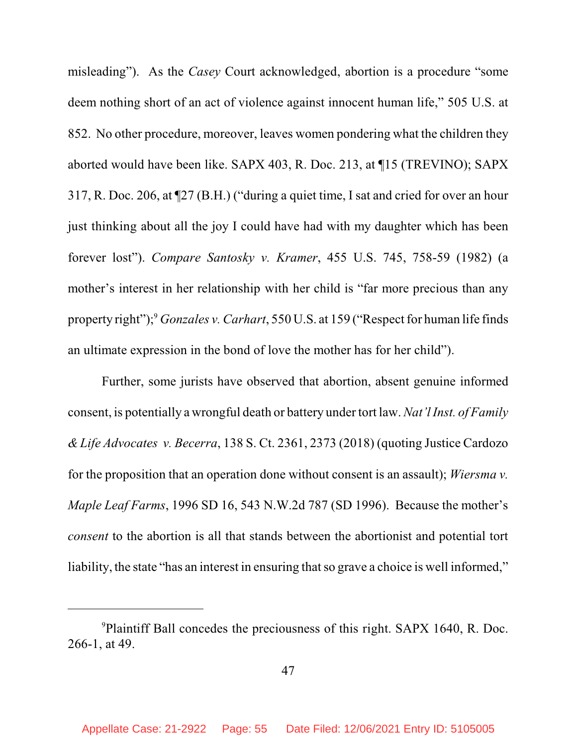misleading"). As the *Casey* Court acknowledged, abortion is a procedure "some deem nothing short of an act of violence against innocent human life," 505 U.S. at 852. No other procedure, moreover, leaves women pondering what the children they aborted would have been like. SAPX 403, R. Doc. 213, at ¶15 (TREVINO); SAPX 317, R. Doc. 206, at ¶27 (B.H.) ("during a quiet time, I sat and cried for over an hour just thinking about all the joy I could have had with my daughter which has been forever lost"). *Compare Santosky v. Kramer*, 455 U.S. 745, 758-59 (1982) (a mother's interest in her relationship with her child is "far more precious than any property right");<sup>9</sup> *Gonzales v. Carhart*, 550 U.S. at 159 ("Respect for human life finds") an ultimate expression in the bond of love the mother has for her child").

Further, some jurists have observed that abortion, absent genuine informed consent, is potentially a wrongful death or battery under tort law. *Nat'lInst. of Family & Life Advocates v. Becerra*, 138 S. Ct. 2361, 2373 (2018) (quoting Justice Cardozo for the proposition that an operation done without consent is an assault); *Wiersma v. Maple Leaf Farms*, 1996 SD 16, 543 N.W.2d 787 (SD 1996). Because the mother's *consent* to the abortion is all that stands between the abortionist and potential tort liability, the state "has an interest in ensuring that so grave a choice is well informed,"

<sup>&</sup>lt;sup>9</sup>Plaintiff Ball concedes the preciousness of this right. SAPX 1640, R. Doc. 266-1, at 49.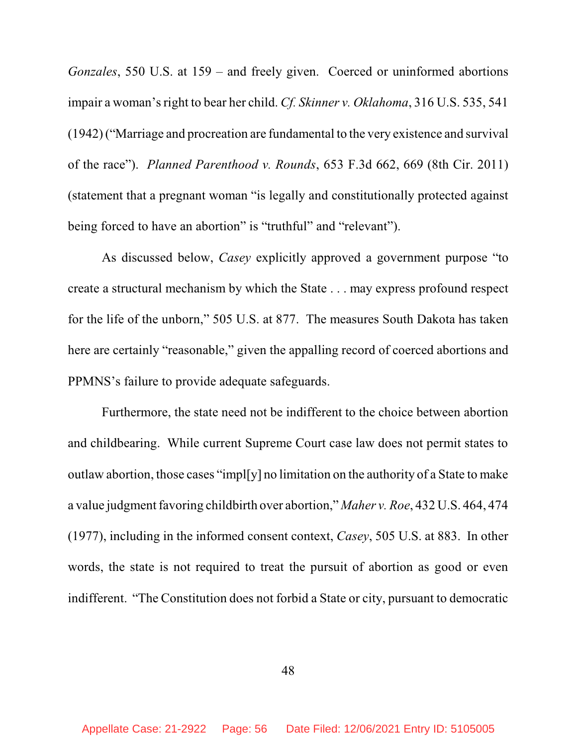*Gonzales*, 550 U.S. at 159 – and freely given. Coerced or uninformed abortions impair a woman's right to bear her child. *Cf. Skinner v. Oklahoma*, 316 U.S. 535, 541 (1942) ("Marriage and procreation are fundamental to the very existence and survival of the race"). *Planned Parenthood v. Rounds*, 653 F.3d 662, 669 (8th Cir. 2011) (statement that a pregnant woman "is legally and constitutionally protected against being forced to have an abortion" is "truthful" and "relevant").

As discussed below, *Casey* explicitly approved a government purpose "to create a structural mechanism by which the State . . . may express profound respect for the life of the unborn," 505 U.S. at 877. The measures South Dakota has taken here are certainly "reasonable," given the appalling record of coerced abortions and PPMNS's failure to provide adequate safeguards.

Furthermore, the state need not be indifferent to the choice between abortion and childbearing. While current Supreme Court case law does not permit states to outlaw abortion, those cases "impl[y] no limitation on the authority of a State to make a value judgment favoring childbirth over abortion," *Maher v. Roe*, 432 U.S. 464, 474 (1977), including in the informed consent context, *Casey*, 505 U.S. at 883. In other words, the state is not required to treat the pursuit of abortion as good or even indifferent. "The Constitution does not forbid a State or city, pursuant to democratic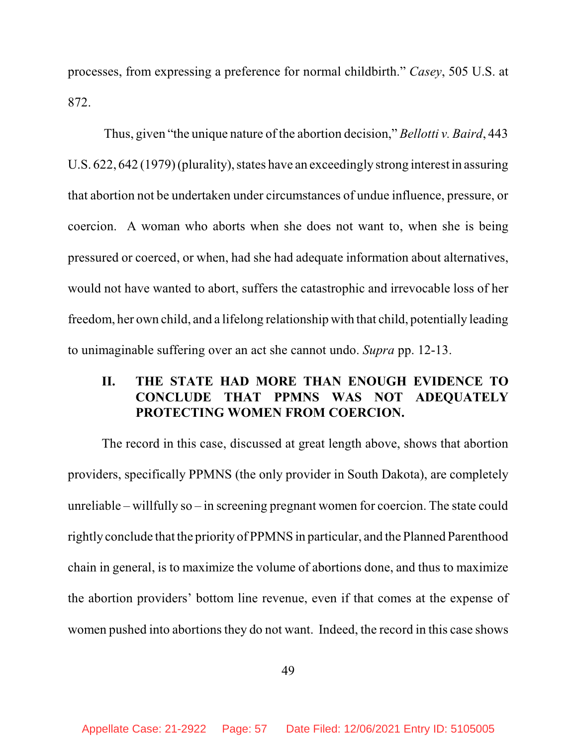processes, from expressing a preference for normal childbirth." *Casey*, 505 U.S. at 872.

Thus, given "the unique nature of the abortion decision," *Bellotti v. Baird*, 443 U.S. 622, 642 (1979) (plurality), states have an exceedingly strong interest in assuring that abortion not be undertaken under circumstances of undue influence, pressure, or coercion. A woman who aborts when she does not want to, when she is being pressured or coerced, or when, had she had adequate information about alternatives, would not have wanted to abort, suffers the catastrophic and irrevocable loss of her freedom, her own child, and a lifelong relationship with that child, potentially leading to unimaginable suffering over an act she cannot undo. *Supra* pp. 12-13.

# **II. THE STATE HAD MORE THAN ENOUGH EVIDENCE TO CONCLUDE THAT PPMNS WAS NOT ADEQUATELY PROTECTING WOMEN FROM COERCION.**

The record in this case, discussed at great length above, shows that abortion providers, specifically PPMNS (the only provider in South Dakota), are completely unreliable – willfully so – in screening pregnant women for coercion. The state could rightly conclude that the priority of PPMNS in particular, and the Planned Parenthood chain in general, is to maximize the volume of abortions done, and thus to maximize the abortion providers' bottom line revenue, even if that comes at the expense of women pushed into abortions they do not want. Indeed, the record in this case shows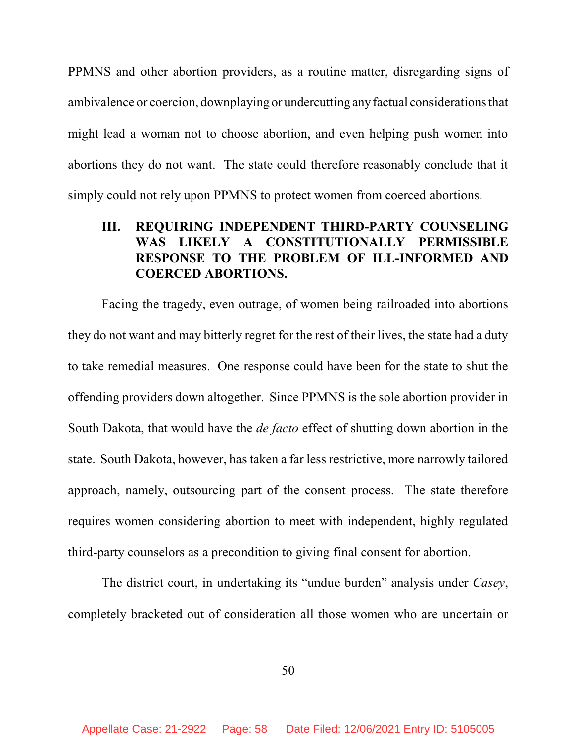PPMNS and other abortion providers, as a routine matter, disregarding signs of ambivalence or coercion, downplaying or undercutting anyfactual considerationsthat might lead a woman not to choose abortion, and even helping push women into abortions they do not want. The state could therefore reasonably conclude that it simply could not rely upon PPMNS to protect women from coerced abortions.

# **III. REQUIRING INDEPENDENT THIRD-PARTY COUNSELING WAS LIKELY A CONSTITUTIONALLY PERMISSIBLE RESPONSE TO THE PROBLEM OF ILL-INFORMED AND COERCED ABORTIONS.**

Facing the tragedy, even outrage, of women being railroaded into abortions they do not want and may bitterly regret for the rest of their lives, the state had a duty to take remedial measures. One response could have been for the state to shut the offending providers down altogether. Since PPMNS is the sole abortion provider in South Dakota, that would have the *de facto* effect of shutting down abortion in the state. South Dakota, however, has taken a far less restrictive, more narrowly tailored approach, namely, outsourcing part of the consent process. The state therefore requires women considering abortion to meet with independent, highly regulated third-party counselors as a precondition to giving final consent for abortion.

The district court, in undertaking its "undue burden" analysis under *Casey*, completely bracketed out of consideration all those women who are uncertain or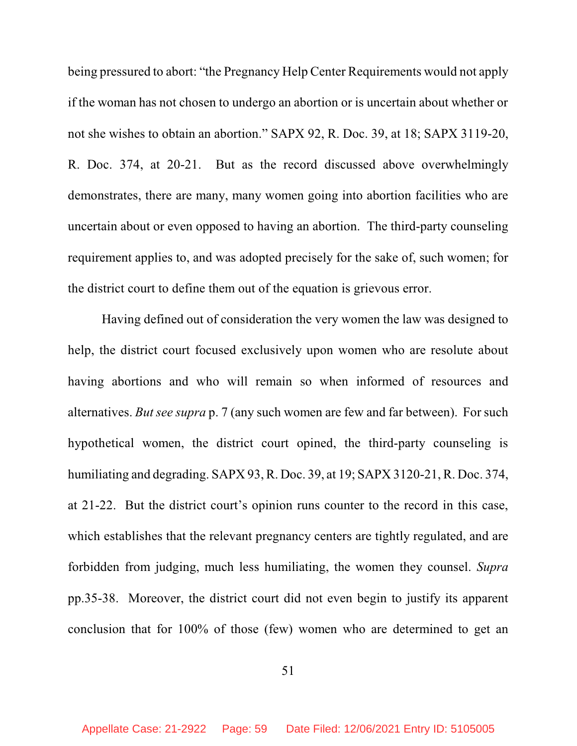being pressured to abort: "the Pregnancy Help Center Requirements would not apply if the woman has not chosen to undergo an abortion or is uncertain about whether or not she wishes to obtain an abortion." SAPX 92, R. Doc. 39, at 18; SAPX 3119-20, R. Doc. 374, at 20-21. But as the record discussed above overwhelmingly demonstrates, there are many, many women going into abortion facilities who are uncertain about or even opposed to having an abortion. The third-party counseling requirement applies to, and was adopted precisely for the sake of, such women; for the district court to define them out of the equation is grievous error.

Having defined out of consideration the very women the law was designed to help, the district court focused exclusively upon women who are resolute about having abortions and who will remain so when informed of resources and alternatives. *But see supra* p. 7 (any such women are few and far between). For such hypothetical women, the district court opined, the third-party counseling is humiliating and degrading. SAPX 93, R. Doc. 39, at 19; SAPX 3120-21, R. Doc. 374, at 21-22. But the district court's opinion runs counter to the record in this case, which establishes that the relevant pregnancy centers are tightly regulated, and are forbidden from judging, much less humiliating, the women they counsel. *Supra* pp.35-38. Moreover, the district court did not even begin to justify its apparent conclusion that for 100% of those (few) women who are determined to get an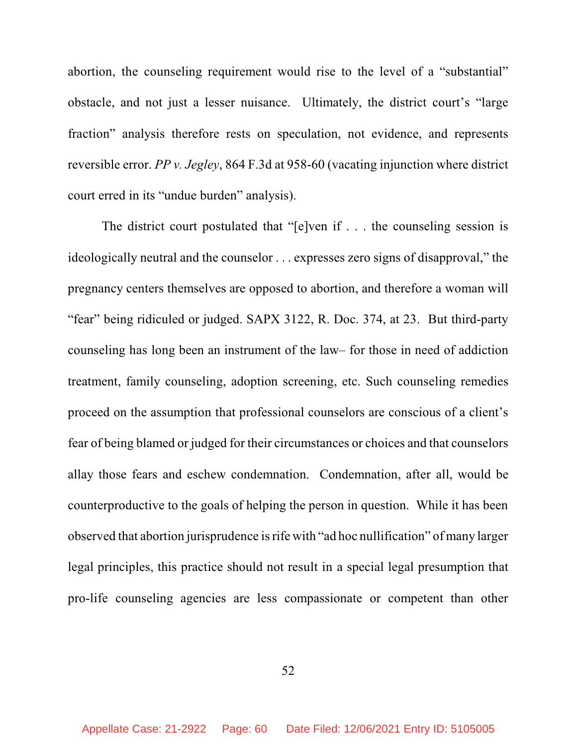abortion, the counseling requirement would rise to the level of a "substantial" obstacle, and not just a lesser nuisance. Ultimately, the district court's "large fraction" analysis therefore rests on speculation, not evidence, and represents reversible error. *PP v. Jegley*, 864 F.3d at 958-60 (vacating injunction where district court erred in its "undue burden" analysis).

The district court postulated that "[e]ven if . . . the counseling session is ideologically neutral and the counselor . . . expresses zero signs of disapproval," the pregnancy centers themselves are opposed to abortion, and therefore a woman will "fear" being ridiculed or judged. SAPX 3122, R. Doc. 374, at 23. But third-party counseling has long been an instrument of the law– for those in need of addiction treatment, family counseling, adoption screening, etc. Such counseling remedies proceed on the assumption that professional counselors are conscious of a client's fear of being blamed or judged for their circumstances or choices and that counselors allay those fears and eschew condemnation. Condemnation, after all, would be counterproductive to the goals of helping the person in question. While it has been observed that abortion jurisprudence isrife with "ad hoc nullification" of many larger legal principles, this practice should not result in a special legal presumption that pro-life counseling agencies are less compassionate or competent than other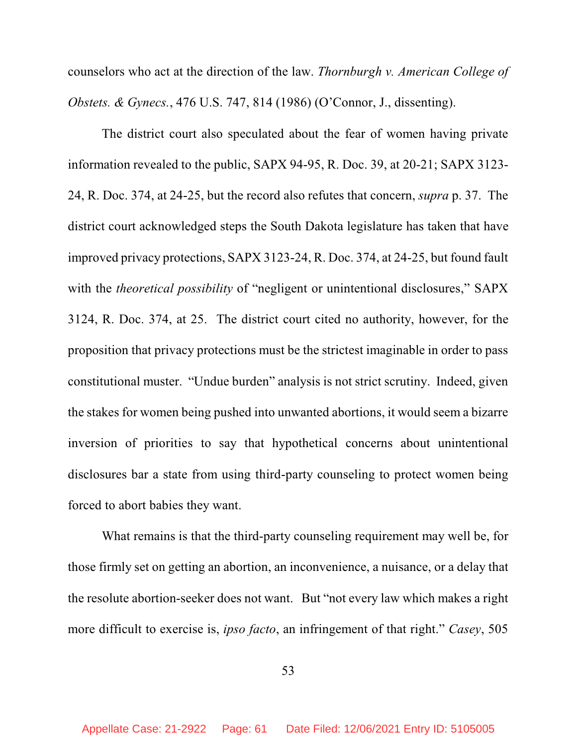counselors who act at the direction of the law. *Thornburgh v. American College of Obstets. & Gynecs.*, 476 U.S. 747, 814 (1986) (O'Connor, J., dissenting).

The district court also speculated about the fear of women having private information revealed to the public, SAPX 94-95, R. Doc. 39, at 20-21; SAPX 3123- 24, R. Doc. 374, at 24-25, but the record also refutes that concern, *supra* p. 37. The district court acknowledged steps the South Dakota legislature has taken that have improved privacy protections, SAPX 3123-24, R. Doc. 374, at 24-25, but found fault with the *theoretical possibility* of "negligent or unintentional disclosures," SAPX 3124, R. Doc. 374, at 25. The district court cited no authority, however, for the proposition that privacy protections must be the strictest imaginable in order to pass constitutional muster. "Undue burden" analysis is not strict scrutiny. Indeed, given the stakes for women being pushed into unwanted abortions, it would seem a bizarre inversion of priorities to say that hypothetical concerns about unintentional disclosures bar a state from using third-party counseling to protect women being forced to abort babies they want.

What remains is that the third-party counseling requirement may well be, for those firmly set on getting an abortion, an inconvenience, a nuisance, or a delay that the resolute abortion-seeker does not want. But "not every law which makes a right more difficult to exercise is, *ipso facto*, an infringement of that right." *Casey*, 505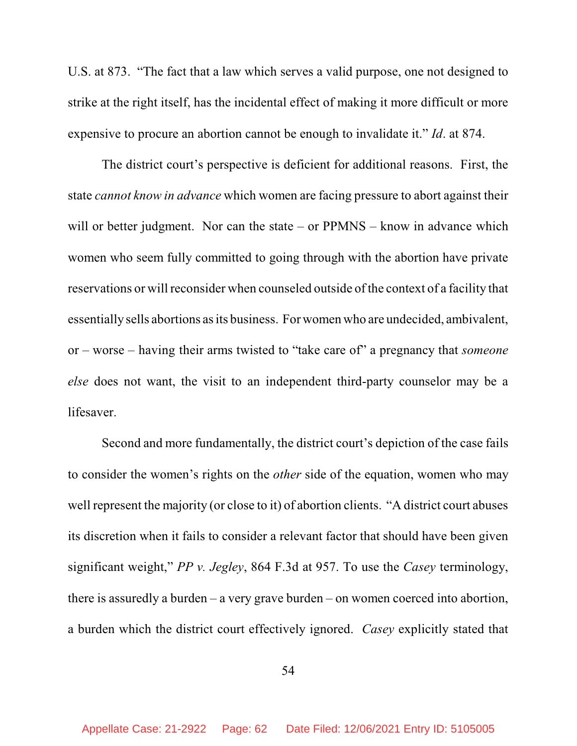U.S. at 873. "The fact that a law which serves a valid purpose, one not designed to strike at the right itself, has the incidental effect of making it more difficult or more expensive to procure an abortion cannot be enough to invalidate it." *Id*. at 874.

The district court's perspective is deficient for additional reasons. First, the state *cannot know in advance* which women are facing pressure to abort against their will or better judgment. Nor can the state – or PPMNS – know in advance which women who seem fully committed to going through with the abortion have private reservations or will reconsider when counseled outside of the context of a facility that essentially sells abortions as its business. For women who are undecided, ambivalent, or – worse – having their arms twisted to "take care of" a pregnancy that *someone else* does not want, the visit to an independent third-party counselor may be a lifesaver.

Second and more fundamentally, the district court's depiction of the case fails to consider the women's rights on the *other* side of the equation, women who may well represent the majority (or close to it) of abortion clients. "A district court abuses its discretion when it fails to consider a relevant factor that should have been given significant weight," *PP v. Jegley*, 864 F.3d at 957. To use the *Casey* terminology, there is assuredly a burden – a very grave burden – on women coerced into abortion, a burden which the district court effectively ignored. *Casey* explicitly stated that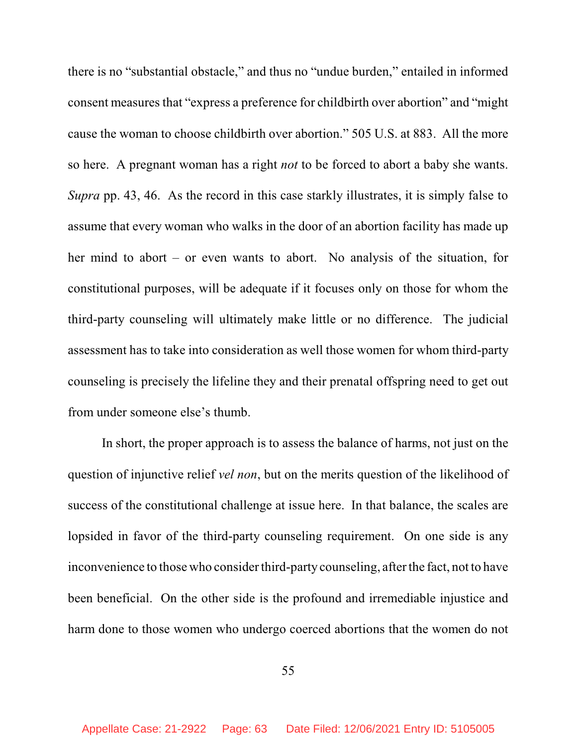there is no "substantial obstacle," and thus no "undue burden," entailed in informed consent measures that "express a preference for childbirth over abortion" and "might cause the woman to choose childbirth over abortion." 505 U.S. at 883. All the more so here. A pregnant woman has a right *not* to be forced to abort a baby she wants. *Supra* pp. 43, 46. As the record in this case starkly illustrates, it is simply false to assume that every woman who walks in the door of an abortion facility has made up her mind to abort – or even wants to abort. No analysis of the situation, for constitutional purposes, will be adequate if it focuses only on those for whom the third-party counseling will ultimately make little or no difference. The judicial assessment has to take into consideration as well those women for whom third-party counseling is precisely the lifeline they and their prenatal offspring need to get out from under someone else's thumb.

In short, the proper approach is to assess the balance of harms, not just on the question of injunctive relief *vel non*, but on the merits question of the likelihood of success of the constitutional challenge at issue here. In that balance, the scales are lopsided in favor of the third-party counseling requirement. On one side is any inconvenience to those who consider third-party counseling, after the fact, not to have been beneficial. On the other side is the profound and irremediable injustice and harm done to those women who undergo coerced abortions that the women do not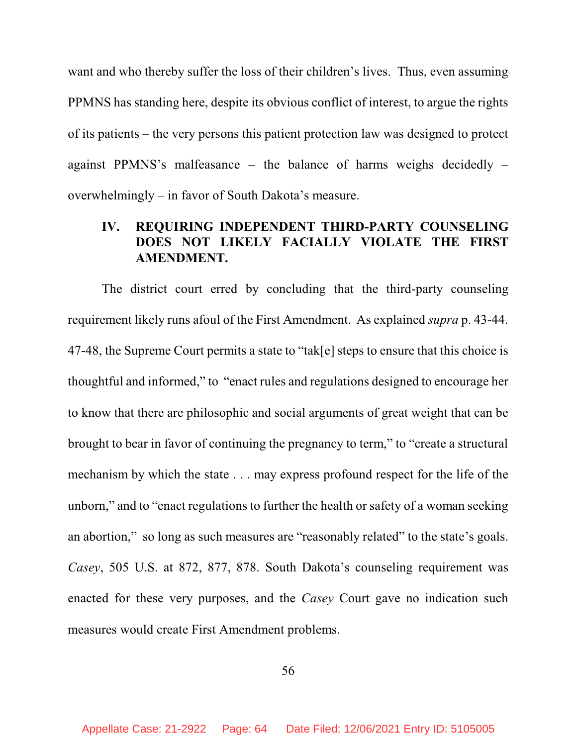want and who thereby suffer the loss of their children's lives. Thus, even assuming PPMNS has standing here, despite its obvious conflict of interest, to argue the rights of its patients – the very persons this patient protection law was designed to protect against PPMNS's malfeasance – the balance of harms weighs decidedly – overwhelmingly – in favor of South Dakota's measure.

# **IV. REQUIRING INDEPENDENT THIRD-PARTY COUNSELING DOES NOT LIKELY FACIALLY VIOLATE THE FIRST AMENDMENT.**

The district court erred by concluding that the third-party counseling requirement likely runs afoul of the First Amendment. As explained *supra* p. 43-44. 47-48, the Supreme Court permits a state to "tak[e] steps to ensure that this choice is thoughtful and informed," to "enact rules and regulations designed to encourage her to know that there are philosophic and social arguments of great weight that can be brought to bear in favor of continuing the pregnancy to term," to "create a structural mechanism by which the state . . . may express profound respect for the life of the unborn," and to "enact regulations to further the health or safety of a woman seeking an abortion," so long as such measures are "reasonably related" to the state's goals. *Casey*, 505 U.S. at 872, 877, 878. South Dakota's counseling requirement was enacted for these very purposes, and the *Casey* Court gave no indication such measures would create First Amendment problems.

56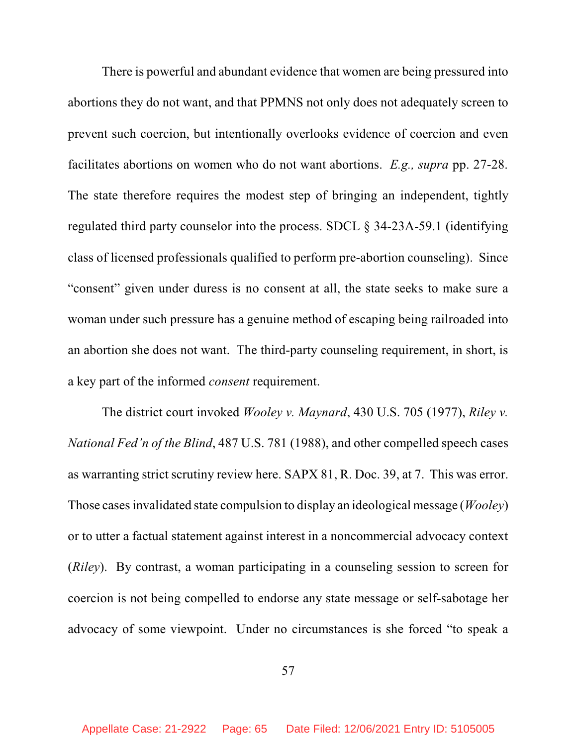There is powerful and abundant evidence that women are being pressured into abortions they do not want, and that PPMNS not only does not adequately screen to prevent such coercion, but intentionally overlooks evidence of coercion and even facilitates abortions on women who do not want abortions. *E.g., supra* pp. 27-28. The state therefore requires the modest step of bringing an independent, tightly regulated third party counselor into the process. SDCL § 34-23A-59.1 (identifying class of licensed professionals qualified to perform pre-abortion counseling). Since "consent" given under duress is no consent at all, the state seeks to make sure a woman under such pressure has a genuine method of escaping being railroaded into an abortion she does not want. The third-party counseling requirement, in short, is a key part of the informed *consent* requirement.

The district court invoked *Wooley v. Maynard*, 430 U.S. 705 (1977), *Riley v. National Fed'n of the Blind*, 487 U.S. 781 (1988), and other compelled speech cases as warranting strict scrutiny review here. SAPX 81, R. Doc. 39, at 7. This was error. Those casesinvalidated state compulsion to display an ideological message (*Wooley*) or to utter a factual statement against interest in a noncommercial advocacy context (*Riley*). By contrast, a woman participating in a counseling session to screen for coercion is not being compelled to endorse any state message or self-sabotage her advocacy of some viewpoint. Under no circumstances is she forced "to speak a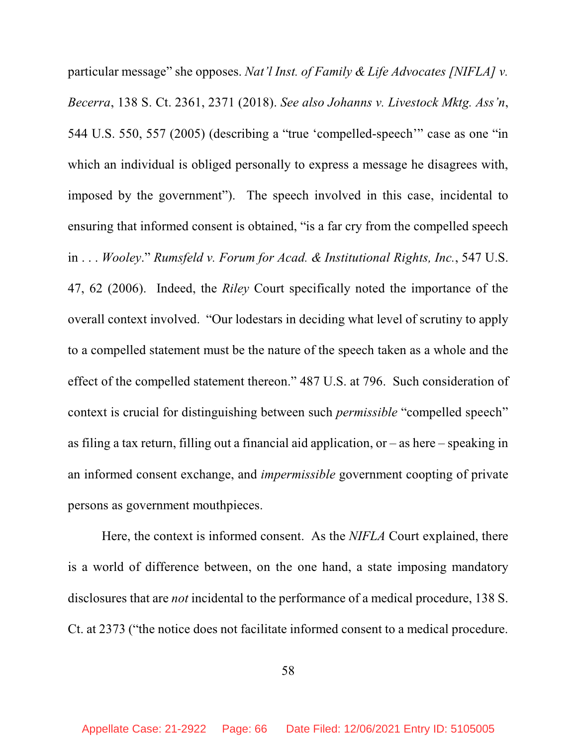particular message" she opposes. *Nat'l Inst. of Family & Life Advocates [NIFLA] v. Becerra*, 138 S. Ct. 2361, 2371 (2018). *See also Johanns v. Livestock Mktg. Ass'n*, 544 U.S. 550, 557 (2005) (describing a "true 'compelled-speech'" case as one "in which an individual is obliged personally to express a message he disagrees with, imposed by the government"). The speech involved in this case, incidental to ensuring that informed consent is obtained, "is a far cry from the compelled speech in . . . *Wooley*." *Rumsfeld v. Forum for Acad. & Institutional Rights, Inc.*, 547 U.S. 47, 62 (2006). Indeed, the *Riley* Court specifically noted the importance of the overall context involved. "Our lodestars in deciding what level of scrutiny to apply to a compelled statement must be the nature of the speech taken as a whole and the effect of the compelled statement thereon." 487 U.S. at 796. Such consideration of context is crucial for distinguishing between such *permissible* "compelled speech" as filing a tax return, filling out a financial aid application, or – as here – speaking in an informed consent exchange, and *impermissible* government coopting of private persons as government mouthpieces.

Here, the context is informed consent. As the *NIFLA* Court explained, there is a world of difference between, on the one hand, a state imposing mandatory disclosures that are *not* incidental to the performance of a medical procedure, 138 S. Ct. at 2373 ("the notice does not facilitate informed consent to a medical procedure.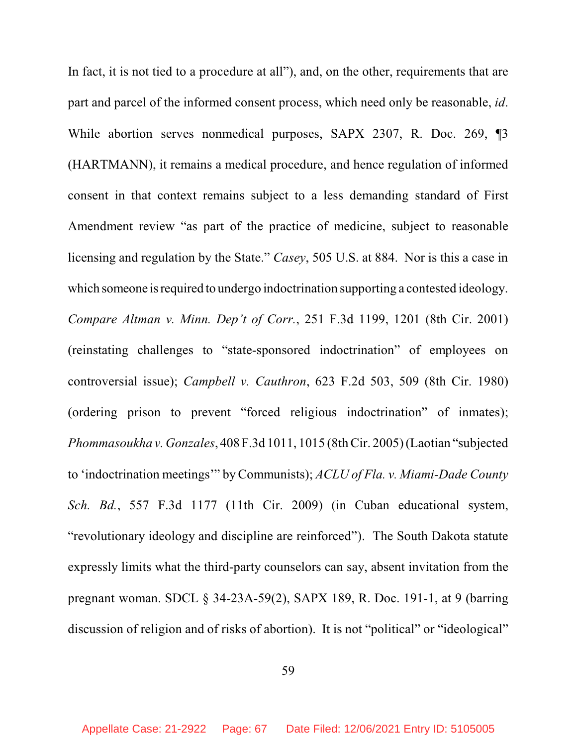In fact, it is not tied to a procedure at all"), and, on the other, requirements that are part and parcel of the informed consent process, which need only be reasonable, *id*. While abortion serves nonmedical purposes, SAPX 2307, R. Doc. 269, ¶3 (HARTMANN), it remains a medical procedure, and hence regulation of informed consent in that context remains subject to a less demanding standard of First Amendment review "as part of the practice of medicine, subject to reasonable licensing and regulation by the State." *Casey*, 505 U.S. at 884. Nor is this a case in which someone is required to undergo indoctrination supporting a contested ideology. *Compare Altman v. Minn. Dep't of Corr.*, 251 F.3d 1199, 1201 (8th Cir. 2001) (reinstating challenges to "state-sponsored indoctrination" of employees on controversial issue); *Campbell v. Cauthron*, 623 F.2d 503, 509 (8th Cir. 1980) (ordering prison to prevent "forced religious indoctrination" of inmates); *Phommasoukha v. Gonzales*, 408 F.3d 1011, 1015 (8thCir. 2005) (Laotian "subjected to 'indoctrination meetings'" by Communists); *ACLU of Fla. v. Miami-Dade County Sch. Bd.*, 557 F.3d 1177 (11th Cir. 2009) (in Cuban educational system, "revolutionary ideology and discipline are reinforced"). The South Dakota statute expressly limits what the third-party counselors can say, absent invitation from the pregnant woman. SDCL § 34-23A-59(2), SAPX 189, R. Doc. 191-1, at 9 (barring discussion of religion and of risks of abortion). It is not "political" or "ideological"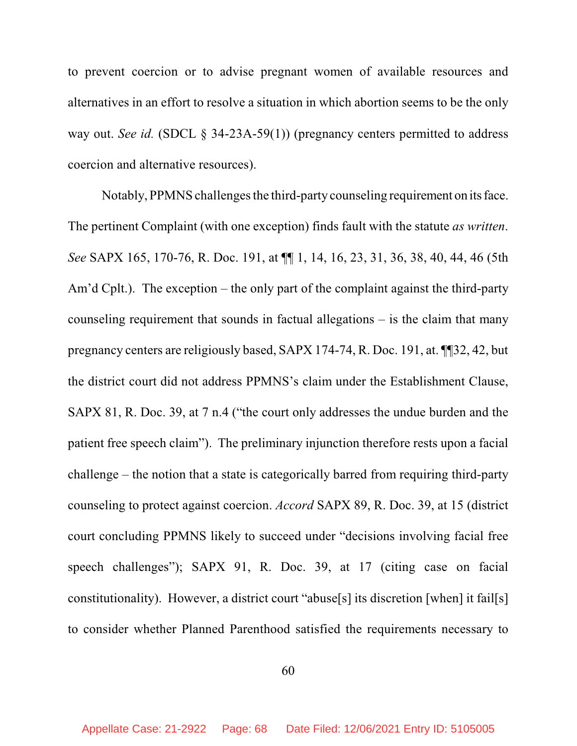to prevent coercion or to advise pregnant women of available resources and alternatives in an effort to resolve a situation in which abortion seems to be the only way out. *See id.* (SDCL § 34-23A-59(1)) (pregnancy centers permitted to address coercion and alternative resources).

Notably, PPMNS challenges the third-party counseling requirement on its face. The pertinent Complaint (with one exception) finds fault with the statute *as written*. *See* SAPX 165, 170-76, R. Doc. 191, at ¶¶ 1, 14, 16, 23, 31, 36, 38, 40, 44, 46 (5th Am'd Cplt.). The exception – the only part of the complaint against the third-party counseling requirement that sounds in factual allegations – is the claim that many pregnancy centers are religiously based, SAPX 174-74, R. Doc. 191, at. ¶¶32, 42, but the district court did not address PPMNS's claim under the Establishment Clause, SAPX 81, R. Doc. 39, at 7 n.4 ("the court only addresses the undue burden and the patient free speech claim"). The preliminary injunction therefore rests upon a facial challenge – the notion that a state is categorically barred from requiring third-party counseling to protect against coercion. *Accord* SAPX 89, R. Doc. 39, at 15 (district court concluding PPMNS likely to succeed under "decisions involving facial free speech challenges"); SAPX 91, R. Doc. 39, at 17 (citing case on facial constitutionality). However, a district court "abuse[s] its discretion [when] it fail[s] to consider whether Planned Parenthood satisfied the requirements necessary to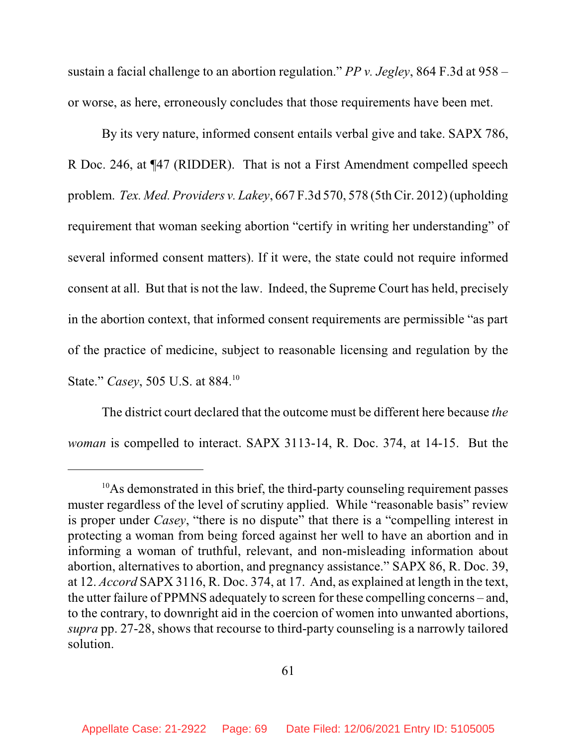sustain a facial challenge to an abortion regulation." *PP v. Jegley*, 864 F.3d at 958 – or worse, as here, erroneously concludes that those requirements have been met.

By its very nature, informed consent entails verbal give and take. SAPX 786, R Doc. 246, at ¶47 (RIDDER). That is not a First Amendment compelled speech problem. *Tex. Med. Providers v. Lakey*, 667 F.3d 570, 578 (5th Cir. 2012) (upholding requirement that woman seeking abortion "certify in writing her understanding" of several informed consent matters). If it were, the state could not require informed consent at all. But that is not the law. Indeed, the Supreme Court has held, precisely in the abortion context, that informed consent requirements are permissible "as part of the practice of medicine, subject to reasonable licensing and regulation by the State." *Casey*, 505 U.S. at 884. 10

The district court declared that the outcome must be different here because *the woman* is compelled to interact. SAPX 3113-14, R. Doc. 374, at 14-15. But the

<sup>&</sup>lt;sup>10</sup>As demonstrated in this brief, the third-party counseling requirement passes muster regardless of the level of scrutiny applied. While "reasonable basis" review is proper under *Casey*, "there is no dispute" that there is a "compelling interest in protecting a woman from being forced against her well to have an abortion and in informing a woman of truthful, relevant, and non-misleading information about abortion, alternatives to abortion, and pregnancy assistance." SAPX 86, R. Doc. 39, at 12. *Accord* SAPX 3116, R. Doc. 374, at 17. And, as explained at length in the text, the utter failure of PPMNS adequately to screen for these compelling concerns – and, to the contrary, to downright aid in the coercion of women into unwanted abortions, *supra* pp. 27-28, shows that recourse to third-party counseling is a narrowly tailored solution.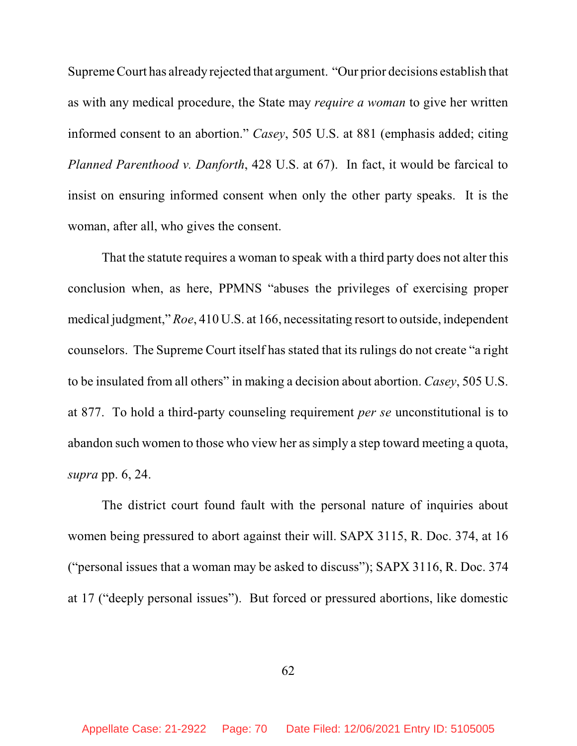Supreme Court has already rejected that argument. "Our prior decisions establish that as with any medical procedure, the State may *require a woman* to give her written informed consent to an abortion." *Casey*, 505 U.S. at 881 (emphasis added; citing *Planned Parenthood v. Danforth*, 428 U.S. at 67). In fact, it would be farcical to insist on ensuring informed consent when only the other party speaks. It is the woman, after all, who gives the consent.

That the statute requires a woman to speak with a third party does not alter this conclusion when, as here, PPMNS "abuses the privileges of exercising proper medical judgment," *Roe*, 410 U.S. at 166, necessitating resort to outside, independent counselors. The Supreme Court itself has stated that its rulings do not create "a right to be insulated from all others" in making a decision about abortion. *Casey*, 505 U.S. at 877. To hold a third-party counseling requirement *per se* unconstitutional is to abandon such women to those who view her assimply a step toward meeting a quota, *supra* pp. 6, 24.

The district court found fault with the personal nature of inquiries about women being pressured to abort against their will. SAPX 3115, R. Doc. 374, at 16 ("personal issues that a woman may be asked to discuss"); SAPX 3116, R. Doc. 374 at 17 ("deeply personal issues"). But forced or pressured abortions, like domestic

62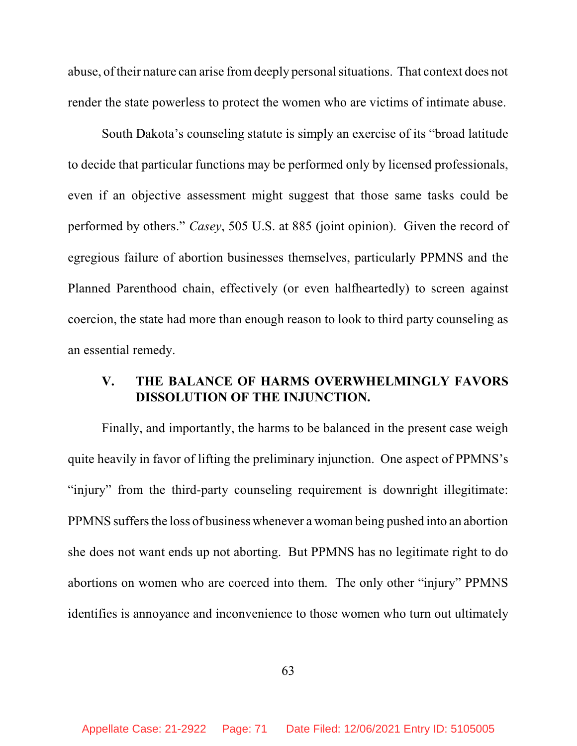abuse, of their nature can arise fromdeeply personalsituations. That context does not render the state powerless to protect the women who are victims of intimate abuse.

South Dakota's counseling statute is simply an exercise of its "broad latitude to decide that particular functions may be performed only by licensed professionals, even if an objective assessment might suggest that those same tasks could be performed by others." *Casey*, 505 U.S. at 885 (joint opinion). Given the record of egregious failure of abortion businesses themselves, particularly PPMNS and the Planned Parenthood chain, effectively (or even halfheartedly) to screen against coercion, the state had more than enough reason to look to third party counseling as an essential remedy.

## **V. THE BALANCE OF HARMS OVERWHELMINGLY FAVORS DISSOLUTION OF THE INJUNCTION.**

Finally, and importantly, the harms to be balanced in the present case weigh quite heavily in favor of lifting the preliminary injunction. One aspect of PPMNS's "injury" from the third-party counseling requirement is downright illegitimate: PPMNS suffers the loss of business whenever a woman being pushed into an abortion she does not want ends up not aborting. But PPMNS has no legitimate right to do abortions on women who are coerced into them. The only other "injury" PPMNS identifies is annoyance and inconvenience to those women who turn out ultimately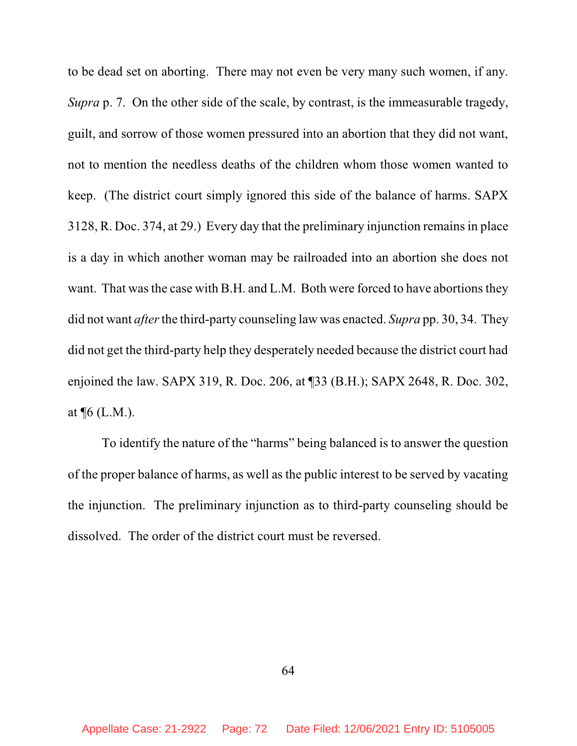to be dead set on aborting. There may not even be very many such women, if any. *Supra* p. 7. On the other side of the scale, by contrast, is the immeasurable tragedy, guilt, and sorrow of those women pressured into an abortion that they did not want, not to mention the needless deaths of the children whom those women wanted to keep. (The district court simply ignored this side of the balance of harms. SAPX 3128, R. Doc. 374, at 29.) Every day that the preliminary injunction remains in place is a day in which another woman may be railroaded into an abortion she does not want. That was the case with B.H. and L.M. Both were forced to have abortions they did not want *after*the third-party counseling law was enacted. *Supra* pp. 30, 34. They did not get the third-party help they desperately needed because the district court had enjoined the law. SAPX 319, R. Doc. 206, at ¶33 (B.H.); SAPX 2648, R. Doc. 302, at ¶6 (L.M.).

To identify the nature of the "harms" being balanced is to answer the question of the proper balance of harms, as well as the public interest to be served by vacating the injunction. The preliminary injunction as to third-party counseling should be dissolved. The order of the district court must be reversed.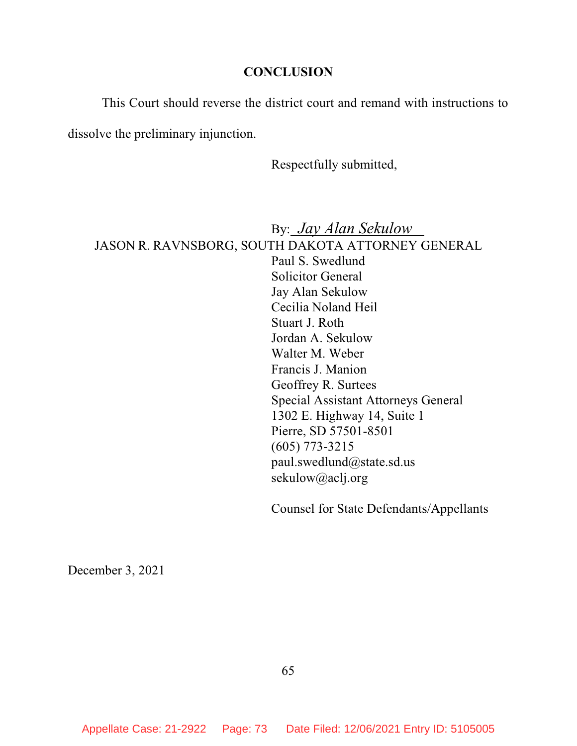## **CONCLUSION**

This Court should reverse the district court and remand with instructions to

dissolve the preliminary injunction.

Respectfully submitted,

By: *Jay Alan Sekulow* JASON R. RAVNSBORG, SOUTH DAKOTA ATTORNEY GENERAL Paul S. Swedlund Solicitor General Jay Alan Sekulow Cecilia Noland Heil Stuart J. Roth Jordan A. Sekulow Walter M. Weber Francis J. Manion Geoffrey R. Surtees Special Assistant Attorneys General 1302 E. Highway 14, Suite 1 Pierre, SD 57501-8501 (605) 773-3215 paul.swedlund@state.sd.us sekulow@aclj.org

Counsel for State Defendants/Appellants

December 3, 2021